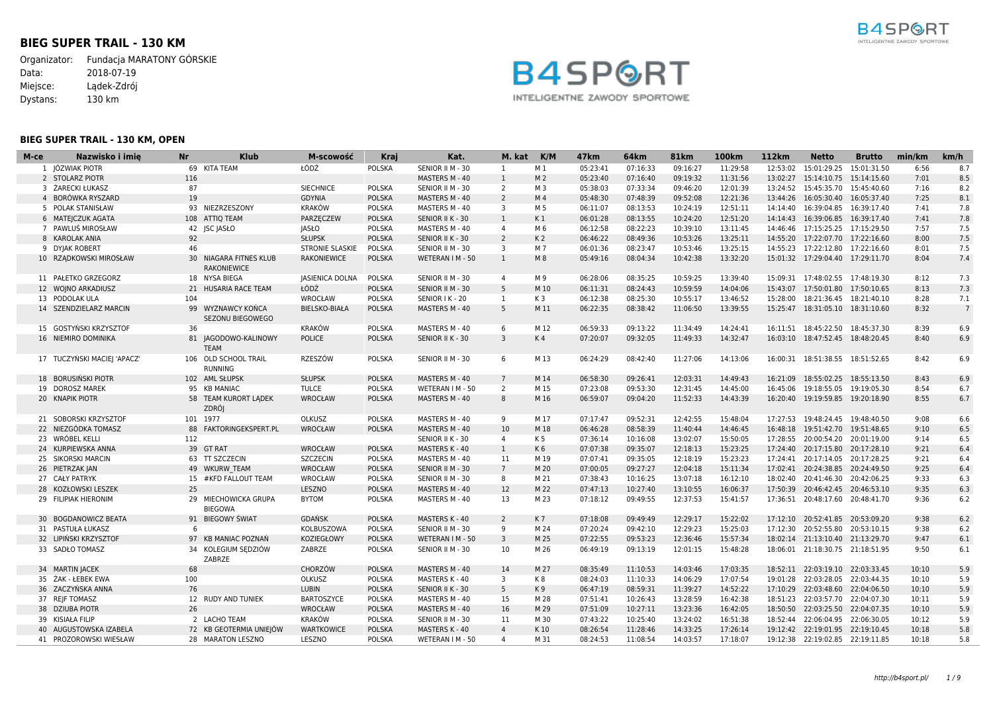# **BIEG SUPER TRAIL - 130 KM**

Organizator: Fundacja MARATONY GÓRSKIE<br>Data: 2018-07-19  $2018-07-19$ Miejsce: Lądek-Zdrój Dystans: 130 km





# **BIEG SUPER TRAIL - 130 KM, OPEN**

| M-ce | Nazwisko i imie             | Nr  | Klub                                         | M-scowość              | Kraj          | Kat.             | M. kat          | K/M            | 47km     | 64km     | 81km     | 100km    | 112km    | Netto                              | <b>Brutto</b> | min/km | km/h           |
|------|-----------------------------|-----|----------------------------------------------|------------------------|---------------|------------------|-----------------|----------------|----------|----------|----------|----------|----------|------------------------------------|---------------|--------|----------------|
|      | 1 JÓZWIAK PIOTR             |     | 69 KITA TEAM                                 | ŁÓDŹ                   | <b>POLSKA</b> | SENIOR II M - 30 | 1               | M 1            | 05:23:41 | 07:16:33 | 09:16:27 | 11:29:58 | 12:53:02 | 15:01:29.25  15:01:31.50           |               | 6:56   | 8.7            |
|      | 2 STOLARZ PIOTR             | 116 |                                              |                        |               | MASTERS M - 40   | $\mathbf{1}$    | M <sub>2</sub> | 05:23:40 | 07:16:40 | 09:19:32 | 11:31:56 |          | 13:02:27 15:14:10.75 15:14:15.60   |               | 7:01   | 8.5            |
|      | 3 ŻARECKI ŁUKASZ            | 87  |                                              | <b>SIECHNICE</b>       | POLSKA        | SENIOR II M - 30 | 2               | M 3            | 05:38:03 | 07:33:34 | 09:46:20 | 12:01:39 |          | 13:24:52  15:45:35.70  15:45:40.60 |               | 7:16   | 8.2            |
|      | 4 BORÓWKA RYSZARD           | 19  |                                              | GDYNIA                 | <b>POLSKA</b> | MASTERS M - 40   | $\overline{2}$  | M <sub>4</sub> | 05:48:30 | 07:48:39 | 09:52:08 | 12:21:36 |          | 13:44:26 16:05:30.40 16:05:37.40   |               | 7:25   | 8.1            |
|      | 5 POLAK STANISŁAW           |     | 93 NIEZRZESZONY                              | <b>KRAKÓW</b>          | <b>POLSKA</b> | MASTERS M - 40   | $\overline{3}$  | M 5            | 06:11:07 | 08:13:53 | 10:24:19 | 12:51:11 |          | 14:14:40  16:39:04.85  16:39:17.40 |               | 7:41   | 7.8            |
|      | 6 MATEJCZUK AGATA           |     | 108 ATTIQ TEAM                               | PARZECZEW              | <b>POLSKA</b> | SENIOR II K - 30 | 1               | K1             | 06:01:28 | 08:13:55 | 10:24:20 | 12:51:20 |          | 14:14:43  16:39:06.85  16:39:17.40 |               | 7:41   | 7.8            |
|      | 7 PAWLUS MIROSŁAW           |     | 42 JSC JASŁO                                 | <b>JASŁO</b>           | <b>POLSKA</b> | MASTERS M - 40   | $\overline{4}$  | M 6            | 06:12:58 | 08:22:23 | 10:39:10 | 13:11:45 |          | 14:46:46 17:15:25.25 17:15:29.50   |               | 7:57   | 7.5            |
|      | 8 KAROLAK ANIA              | 92  |                                              | <b>SŁUPSK</b>          | <b>POLSKA</b> | SENIOR II K - 30 | $\overline{2}$  | K <sub>2</sub> | 06:46:22 | 08:49:36 | 10:53:26 | 13:25:11 |          | 14:55:20 17:22:07.70 17:22:16.60   |               | 8:00   | 7.5            |
|      | 9 DYJAK ROBERT              | 46  |                                              | <b>STRONIE SLASKIE</b> | <b>POLSKA</b> | SENIOR II M - 30 | $\overline{3}$  | M 7            | 06:01:36 | 08:23:47 | 10:53:46 | 13:25:15 |          | 14:55:23 17:22:12.80 17:22:16.60   |               | 8:01   | 7.5            |
|      | 10 RZADKOWSKI MIROSŁAW      |     | 30 NIAGARA FITNES KLUB<br><b>RAKONIEWICE</b> | RAKONIEWICE            | <b>POLSKA</b> | WETERAN I M - 50 | 1               | M 8            | 05:49:16 | 08:04:34 | 10:42:38 | 13:32:20 |          | 15:01:32 17:29:04.40 17:29:11.70   |               | 8:04   | 7.4            |
|      | 11 PAŁETKO GRZEGORZ         |     | 18 NYSA BIEGA                                | <b>JASIENICA DOLNA</b> | <b>POLSKA</b> | SENIOR II M - 30 | $\overline{4}$  | M 9            | 06:28:06 | 08:35:25 | 10:59:25 | 13:39:40 | 15:09:31 | 17:48:02.55 17:48:19.30            |               | 8:12   | 7.3            |
|      | 12 WOJNO ARKADIUSZ          |     | 21 HUSARIA RACE TEAM                         | ŁÓDŹ                   | <b>POLSKA</b> | SENIOR II M - 30 | -5              | M 10           | 06:11:31 | 08:24:43 | 10:59:59 | 14:04:06 | 15:43:07 | 17:50:01.80 17:50:10.65            |               | 8:13   | 7.3            |
|      | 13 PODOLAK ULA              | 104 |                                              | WROCŁAW                | <b>POLSKA</b> | SENIOR I K - 20  | 1               | K 3            | 06:12:38 | 08:25:30 | 10:55:17 | 13:46:52 | 15:28:00 | 18:21:36.45  18:21:40.10           |               | 8:28   | 7.1            |
|      | 14 SZENDZIELARZ MARCIN      |     | 99 WYZNAWCY KOŃCA<br><b>SEZONU BIEGOWEGO</b> | BIELSKO-BIAŁA          | <b>POLSKA</b> | MASTERS M - 40   | 5               | M 11           | 06:22:35 | 08:38:42 | 11:06:50 | 13:39:55 |          | 15:25:47  18:31:05.10  18:31:10.60 |               | 8:32   | $\overline{7}$ |
|      | 15 GOSTYŃSKI KRZYSZTOF      | 36  |                                              | <b>KRAKÓW</b>          | <b>POLSKA</b> | MASTERS M - 40   | 6               | M 12           | 06:59:33 | 09:13:22 | 11:34:49 | 14:24:41 |          | 16:11:51  18:45:22.50  18:45:37.30 |               | 8:39   | 6.9            |
|      | 16 NIEMIRO DOMINIKA         |     | 81 JAGODOWO-KALINOWY<br><b>TEAM</b>          | <b>POLICE</b>          | <b>POLSKA</b> | SENIOR II K - 30 | $\overline{3}$  | K <sub>4</sub> | 07:20:07 | 09:32:05 | 11:49:33 | 14:32:47 |          | 16:03:10 18:47:52.45 18:48:20.45   |               | 8:40   | 6.9            |
|      | 17 TUCZYNSKI MACIEJ 'APACZ' |     | 106 OLD SCHOOL TRAIL<br><b>RUNNING</b>       | RZESZÓW                | <b>POLSKA</b> | SENIOR II M - 30 | 6               | M 13           | 06:24:29 | 08:42:40 | 11:27:06 | 14:13:06 |          | 16:00:31  18:51:38.55  18:51:52.65 |               | 8:42   | 6.9            |
|      | 18 BORUSINSKI PIOTR         |     | 102 AML SŁUPSK                               | <b>SŁUPSK</b>          | <b>POLSKA</b> | MASTERS M - 40   | $7\phantom{.0}$ | M 14           | 06:58:30 | 09:26:41 | 12:03:31 | 14:49:43 | 16:21:09 | 18:55:02.25  18:55:13.50           |               | 8:43   | 6.9            |
|      | 19 DOROSZ MAREK             |     | 95 KB MANIAC                                 | <b>TULCE</b>           | <b>POLSKA</b> | WETERAN I M - 50 | 2               | M 15           | 07:23:08 | 09:53:30 | 12:31:45 | 14:45:00 |          | 16:45:06 19:18:55.05 19:19:05.30   |               | 8:54   | 6.7            |
|      | 20 KNAPIK PIOTR             |     | 58 TEAM KURORT LADEK<br><b>ZDRÓJ</b>         | <b>WROCŁAW</b>         | <b>POLSKA</b> | MASTERS M - 40   | 8               | M 16           | 06:59:07 | 09:04:20 | 11:52:33 | 14:43:39 |          | 16:20:40 19:19:59.85 19:20:18.90   |               | 8:55   | 6.7            |
|      | 21 SOBORSKI KRZYSZTOF       |     | 101 1977                                     | OLKUSZ                 | <b>POLSKA</b> | MASTERS M - 40   | 9               | M 17           | 07:17:47 | 09:52:31 | 12:42:55 | 15:48:04 |          | 17:27:53 19:48:24.45 19:48:40.50   |               | 9:08   | 6.6            |
|      | 22 NIEZGÓDKA TOMASZ         |     | 88 FAKTORINGEKSPERT.PL                       | WROCŁAW                | <b>POLSKA</b> | MASTERS M - 40   | 10              | M 18           | 06:46:28 | 08:58:39 | 11:40:44 | 14:46:45 |          | 16:48:18  19:51:42.70  19:51:48.65 |               | 9:10   | 6.5            |
|      | 23 WRÓBEL KELLI             | 112 |                                              |                        |               | SENIOR II K - 30 | $\overline{4}$  | K 5            | 07:36:14 | 10:16:08 | 13:02:07 | 15:50:05 |          | 17:28:55 20:00:54.20 20:01:19.00   |               | 9:14   | 6.5            |
|      | 24 KURPIEWSKA ANNA          |     | 39 GT RAT                                    | WROCŁAW                | <b>POLSKA</b> | MASTERS K - 40   | $\mathbf{1}$    | K6             | 07:07:38 | 09:35:07 | 12:18:13 | 15:23:25 |          | 17:24:40 20:17:15.80 20:17:28.10   |               | 9:21   | 6.4            |
|      | 25 SIKORSKI MARCIN          |     | 63 TT SZCZECIN                               | <b>SZCZECIN</b>        | <b>POLSKA</b> | MASTERS M - 40   | 11              | M 19           | 07:07:41 | 09:35:05 | 12:18:19 | 15:23:23 |          | 17:24:41 20:17:14.05 20:17:28.25   |               | 9:21   | 6.4            |
|      | 26 PIETRZAK JAN             |     | 49 WKURW TEAM                                | <b>WROCŁAW</b>         | <b>POLSKA</b> | SENIOR II M - 30 | $7^{\circ}$     | M 20           | 07:00:05 | 09:27:27 | 12:04:18 | 15:11:34 |          | 17:02:41 20:24:38.85 20:24:49.50   |               | 9:25   | 6.4            |
|      | 27 CAŁY PATRYK              |     | 15 #KFD FALLOUT TEAM                         | WROCŁAW                | <b>POLSKA</b> | SENIOR II M - 30 | 8               | M 21           | 07:38:43 | 10:16:25 | 13:07:18 | 16:12:10 |          | 18:02:40 20:41:46.30 20:42:06.25   |               | 9:33   | 6.3            |
|      | 28 KOZŁOWSKI LESZEK         | 25  |                                              | LESZNO                 | <b>POLSKA</b> | MASTERS M - 40   | 12              | M 22           | 07:47:13 | 10:27:40 | 13:10:55 | 16:06:37 |          | 17:50:39 20:46:42.45 20:46:53.10   |               | 9:35   | 6.3            |
|      | 29 FILIPIAK HIERONIM        |     | 29 MIECHOWICKA GRUPA<br><b>BIEGOWA</b>       | <b>BYTOM</b>           | <b>POLSKA</b> | MASTERS M - 40   | 13              | M 23           | 07:18:12 | 09:49:55 | 12:37:53 | 15:41:57 |          | 17:36:51  20:48:17.60  20:48:41.70 |               | 9:36   | 6.2            |
|      | 30 BOGDANOWICZ BEATA        |     | 91 BIEGOWY ŚWIAT                             | <b>GDAŃSK</b>          | <b>POLSKA</b> | MASTERS K - 40   | $\overline{2}$  | K7             | 07:18:08 | 09:49:49 | 12:29:17 | 15:22:02 |          | 17:12:10 20:52:41.85 20:53:09.20   |               | 9:38   | 6.2            |
|      | 31 PASTUŁA ŁUKASZ           | 6   |                                              | KOLBUSZOWA             | <b>POLSKA</b> | SENIOR II M - 30 | 9               | M 24           | 07:20:24 | 09:42:10 | 12:29:23 | 15:25:03 |          | 17:12:30 20:52:55.80 20:53:10.15   |               | 9:38   | 6.2            |
|      | 32 LIPIŃSKI KRZYSZTOF       |     | 97 KB MANIAC POZNAŃ                          | KOZIEGŁOWY             | <b>POLSKA</b> | WETERAN I M - 50 | 3               | M 25           | 07:22:55 | 09:53:23 | 12:36:46 | 15:57:34 |          | 18:02:14 21:13:10.40 21:13:29.70   |               | 9:47   | 6.1            |
|      | 33 SADŁO TOMASZ             |     | 34 KOLEGIUM SEDZIÓW<br>ZABRZE                | ZABRZE                 | <b>POLSKA</b> | SENIOR II M - 30 | 10              | M 26           | 06:49:19 | 09:13:19 | 12:01:15 | 15:48:28 |          | 18:06:01 21:18:30.75 21:18:51.95   |               | 9:50   | 6.1            |
|      | 34 MARTIN JACEK             | 68  |                                              | CHORZÓW                | <b>POLSKA</b> | MASTERS M - 40   | 14              | M 27           | 08:35:49 | 11:10:53 | 14:03:46 | 17:03:35 |          | 18:52:11 22:03:19.10 22:03:33.45   |               | 10:10  | 5.9            |
|      | 35 ŻAK - ŁEBEK EWA          | 100 |                                              | OLKUSZ                 | <b>POLSKA</b> | MASTERS K - 40   | $\overline{3}$  | K8             | 08:24:03 | 11:10:33 | 14:06:29 | 17:07:54 |          | 19:01:28 22:03:28.05 22:03:44.35   |               | 10:10  | 5.9            |
|      | 36 ZACZYŃSKA ANNA           | 76  |                                              | <b>LUBIN</b>           | <b>POLSKA</b> | SENIOR II K - 30 | 5               | K 9            | 06:47:19 | 08:59:31 | 11:39:27 | 14:52:22 | 17:10:29 | 22:03:48.60 22:04:06.50            |               | 10:10  | 5.9            |
|      | 37 REJF TOMASZ              |     | 12 RUDY AND TUNIEK                           | <b>BARTOSZYCE</b>      | <b>POLSKA</b> | MASTERS M - 40   | 15              | M 28           | 07:51:41 | 10:26:43 | 13:28:59 | 16:42:38 |          | 18:51:23 22:03:57.70 22:04:07.30   |               | 10:11  | 5.9            |
|      | 38 DZIUBA PIOTR             | 26  |                                              | <b>WROCŁAW</b>         | <b>POLSKA</b> | MASTERS M - 40   | 16              | M 29           | 07:51:09 | 10:27:11 | 13:23:36 | 16:42:05 |          | 18:50:50 22:03:25.50 22:04:07.35   |               | 10:10  | 5.9            |
|      | 39 KISIAŁA FILIP            |     | 2 LACHO TEAM                                 | <b>KRAKÓW</b>          | <b>POLSKA</b> | SENIOR II M - 30 | 11              | M 30           | 07:43:22 | 10:25:40 | 13:24:02 | 16:51:38 |          | 18:52:44 22:06:04.95 22:06:30.05   |               | 10:12  | 5.9            |
|      | 40 AUGUSTOWSKA IZABELA      |     | 72 KB GEOTERMIA UNIEJÓW                      | <b>WARTKOWICE</b>      | <b>POLSKA</b> | MASTERS K - 40   | $\overline{4}$  | K10            | 08:26:54 | 11:28:46 | 14:33:25 | 17:26:14 |          | 19:12:42 22:19:01.95 22:19:10.45   |               | 10:18  | 5.8            |
|      | 41 PROZOROWSKI WIESŁAW      |     | 28 MARATON LESZNO                            | LESZNO                 | <b>POLSKA</b> | WETERAN I M - 50 | 4               | M 31           | 08:24:53 | 11:08:54 | 14:03:57 | 17:18:07 |          | 19:12:38 22:19:02.85 22:19:11.85   |               | 10:18  | 5.8            |
|      |                             |     |                                              |                        |               |                  |                 |                |          |          |          |          |          |                                    |               |        |                |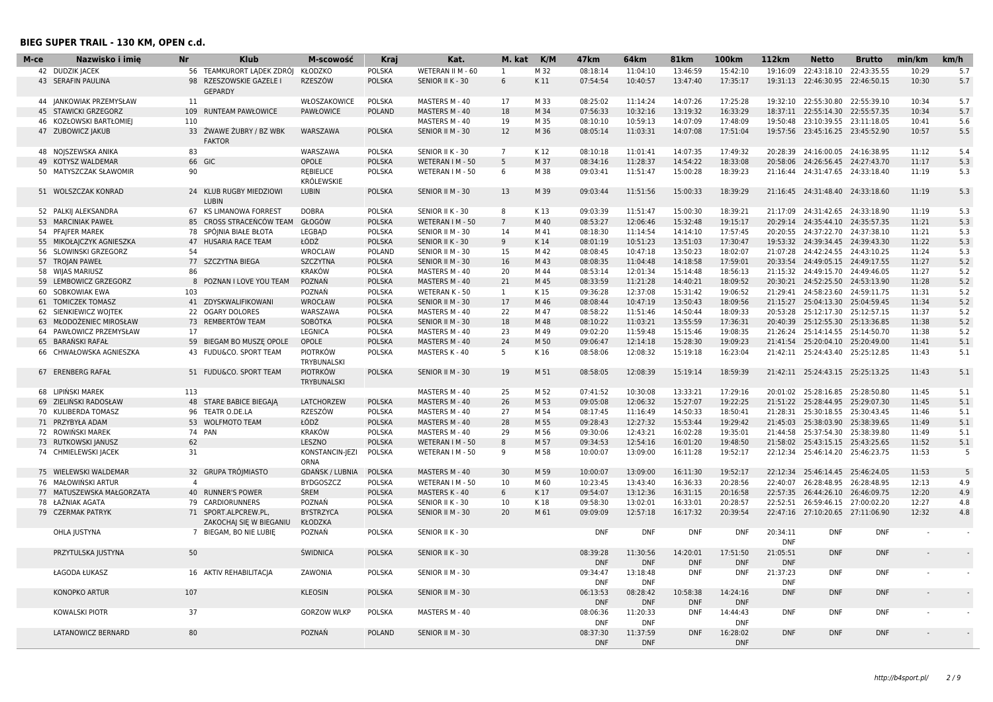| М-се | Nazwisko i imię                            | <b>Nr</b>      | <b>Klub</b>                            | M-scowość                      | Kraj          | Kat.              | M. kat          | K/M  | 47 <sub>km</sub> | 64km       | 81 <sub>km</sub> | 100km      | 112 <sub>km</sub> | <b>Netto</b>                       | <b>Brutto</b> | min/km | km/h   |
|------|--------------------------------------------|----------------|----------------------------------------|--------------------------------|---------------|-------------------|-----------------|------|------------------|------------|------------------|------------|-------------------|------------------------------------|---------------|--------|--------|
|      | 42 DUDZIK JACEK                            |                | 56 TEAMKURORT LADEK ZDRÓJ              | KŁODZKO                        | <b>POLSKA</b> | WETERAN II M - 60 | 1               | M 32 | 08:18:14         | 11:04:10   | 13:46:59         | 15:42:10   | 19:16:09          | 22:43:18.10                        | 22:43:35.55   | 10:29  | 5.7    |
|      | 43 SERAFIN PAULINA                         |                | 98 RZESZOWSKIE GAZELE I                | <b>RZESZÓW</b>                 | <b>POLSKA</b> | SENIOR II K - 30  | 6               | K11  | 07:54:54         | 10:40:57   | 13:47:40         | 17:35:17   |                   | 19:31:13 22:46:30.95 22:46:50.15   |               | 10:30  | 5.7    |
|      |                                            |                | <b>GEPARDY</b>                         |                                |               |                   |                 |      |                  |            |                  |            |                   |                                    |               |        |        |
|      | 44 JANKOWIAK PRZEMYSŁAW                    | 11             |                                        | WŁOSZAKOWICE                   | POLSKA        | MASTERS M - 40    | 17              | M 33 | 08:25:02         | 11:14:24   | 14:07:26         | 17:25:28   |                   | 19:32:10 22:55:30.80 22:55:39.10   |               | 10:34  | 5.7    |
|      | 45 STAWICKI GRZEGORZ                       |                | 109 RUNTEAM PAWŁOWICE                  | PAWŁOWICE                      | <b>POLAND</b> | MASTERS M - 40    | 18              | M 34 | 07:56:33         | 10:32:16   | 13:19:32         | 16:33:29   |                   | 18:37:11 22:55:14.30 22:55:57.35   |               | 10:34  | 5.7    |
|      | 46 KOZŁOWSKI BARTŁOMIEJ                    | 110            |                                        |                                |               | MASTERS M - 40    | 19              | M 35 | 08:10:10         | 10:59:13   | 14:07:09         | 17:48:09   |                   | 19:50:48 23:10:39.55 23:11:18.05   |               | 10:41  | 5.6    |
|      | 47 ZUBOWICZ JAKUB                          |                | 33 ŻWAWE ŻUBRY / BZ WBK                | WARSZAWA                       | <b>POLSKA</b> | SENIOR II M - 30  | 12              | M 36 | 08:05:14         | 11:03:31   | 14:07:08         | 17:51:04   |                   | 19:57:56 23:45:16.25 23:45:52.90   |               | 10:57  | 5.5    |
|      |                                            |                | <b>FAKTOR</b>                          |                                |               |                   |                 |      |                  |            |                  |            |                   |                                    |               |        |        |
|      | 48 NOJSZEWSKA ANIKA                        | 83             |                                        | WARSZAWA                       | <b>POLSKA</b> | SENIOR II K - 30  | $\overline{7}$  | K 12 | 08:10:18         | 11:01:41   | 14:07:35         | 17:49:32   |                   | 20:28:39 24:16:00.05 24:16:38.95   |               | 11:12  | 5.4    |
| 49   | KOTYSZ WALDEMAR                            |                | 66 GIC                                 | <b>OPOLE</b>                   | <b>POLSKA</b> | WETERAN I M - 50  | 5               | M 37 | 08:34:16         | 11:28:37   | 14:54:22         | 18:33:08   | 20:58:06          | 24:26:56.45 24:27:43.70            |               | 11:17  | 5.3    |
|      | 50 MATYSZCZAK SŁAWOMIR                     | 90             |                                        | <b>REBIELICE</b>               | <b>POLSKA</b> | WETERAN I M - 50  | 6               | M 38 | 09:03:41         | 11:51:47   | 15:00:28         | 18:39:23   | 21:16:44          | 24:31:47.65                        | 24:33:18.40   | 11:19  | 5.3    |
|      |                                            |                |                                        | <b>KRÓLEWSKIE</b>              |               |                   |                 |      |                  |            |                  |            |                   |                                    |               |        |        |
|      | 51 WOLSZCZAK KONRAD                        |                | 24 KLUB RUGBY MIEDZIOWI                | <b>LUBIN</b>                   | <b>POLSKA</b> | SENIOR II M - 30  | 13              | M 39 | 09:03:44         | 11:51:56   | 15:00:33         | 18:39:29   |                   | 21:16:45 24:31:48.40 24:33:18.60   |               | 11:19  | 5.3    |
|      |                                            |                | <b>LUBIN</b><br>67 KS LIMANOWA FORREST | <b>DOBRA</b>                   | <b>POLSKA</b> | SENIOR II K - 30  | 8               | K13  | 09:03:39         | 11:51:47   | 15:00:30         | 18:39:21   |                   | 21:17:09 24:31:42.65 24:33:18.90   |               | 11:19  | 5.3    |
|      | 52 PALKIJ ALEKSANDRA<br>53 MARCINIAK PAWEŁ |                | 85 CROSS STRACEŃCÓW TEAM               | GŁOGÓW                         | <b>POLSKA</b> | WETERAN I M - 50  | $7\overline{ }$ | M 40 | 08:53:27         | 12:06:46   | 15:32:48         | 19:15:17   |                   | 20:29:14 24:35:44.10 24:35:57.35   |               | 11:21  | 5.3    |
|      | 54 PFAJFER MAREK                           |                | 78 SPÓINIA BIAŁE BŁOTA                 | LEGBAD                         | <b>POLSKA</b> | SENIOR II M - 30  | 14              | M 41 | 08:18:30         | 11:14:54   | 14:14:10         | 17:57:45   |                   | 20:20:55 24:37:22.70 24:37:38.10   |               | 11:21  | 5.3    |
|      | 55 MIKOŁAJCZYK AGNIESZKA                   |                | 47 HUSARIA RACE TEAM                   | ŁÓDŹ                           | <b>POLSKA</b> | SENIOR II K - 30  | 9               | K14  | 08:01:19         | 10:51:23   | 13:51:03         | 17:30:47   |                   | 19:53:32  24:39:34.45  24:39:43.30 |               | 11:22  | 5.3    |
|      | 56 SLOWINSKI GRZEGORZ                      | 54             |                                        | <b>WROCLAW</b>                 | <b>POLAND</b> | SENIOR II M - 30  | 15              | M 42 | 08:08:45         | 10:47:18   | 13:50:23         | 18:02:07   |                   | 21:07:28 24:42:24.55 24:43:10.25   |               | 11:24  | 5.3    |
|      | 57 TROJAN PAWEŁ                            |                | 77 SZCZYTNA BIEGA                      | <b>SZCZYTNA</b>                | <b>POLSKA</b> | SENIOR II M - 30  | 16              | M 43 | 08:08:35         | 11:04:48   | 14:18:58         | 17:59:01   |                   | 20:33:54 24:49:05.15 24:49:17.55   |               | 11:27  | 5.2    |
|      | 58 WIJAS MARIUSZ                           | 86             |                                        | <b>KRAKÓW</b>                  | POLSKA        | MASTERS M - 40    | 20              | M 44 | 08:53:14         | 12:01:34   | 15:14:48         | 18:56:13   |                   | 21:15:32 24:49:15.70 24:49:46.05   |               | 11:27  | 5.2    |
| 59   | LEMBOWICZ GRZEGORZ                         |                | 8 POZNAN I LOVE YOU TEAM               | POZNAŃ                         | <b>POLSKA</b> | MASTERS M - 40    | 21              | M 45 | 08:33:59         | 11:21:28   | 14:40:21         | 18:09:52   |                   | 20:30:21 24:52:25.50 24:53:13.90   |               | 11:28  | 5.2    |
|      | 60 SOBKOWIAK EWA                           | 103            |                                        | POZNAŃ                         | POLSKA        | WETERAN K - 50    | <sup>1</sup>    | K 15 | 09:36:28         | 12:37:08   | 15:31:42         | 19:06:52   |                   | 21:29:41 24:58:23.60 24:59:11.75   |               | 11:31  | 5.2    |
|      | 61 TOMICZEK TOMASZ                         |                | 41 ZDYSKWALIFIKOWANI                   | <b>WROCŁAW</b>                 | <b>POLSKA</b> | SENIOR II M - 30  | 17              | M 46 | 08:08:44         | 10:47:19   | 13:50:43         | 18:09:56   |                   | 21:15:27 25:04:13.30 25:04:59.45   |               | 11:34  | 5.2    |
|      | 62 SIENKIEWICZ WOJTEK                      |                | 22 OGARY DOLORES                       | WARSZAWA                       | <b>POLSKA</b> | MASTERS M - 40    | 22              | M 47 | 08:58:22         | 11:51:46   | 14:50:44         | 18:09:33   |                   | 20:53:28 25:12:17.30 25:12:57.15   |               | 11:37  | 5.2    |
| 63   | MŁODOŻENIEC MIROSŁAW                       |                | 73 REMBERTÓW TEAM                      | SOBÓTKA                        | <b>POLSKA</b> | SENIOR II M - 30  | 18              | M 48 | 08:10:22         | 11:03:21   | 13:55:59         | 17:36:31   | 20:40:39          | 25:12:55.30 25:13:36.85            |               | 11:38  | 5.2    |
| 64   | PAWŁOWICZ PRZEMYSŁAW                       | 17             |                                        | <b>LEGNICA</b>                 | <b>POLSKA</b> | MASTERS M - 40    | 23              | M 49 | 09:02:20         | 11:59:48   | 15:15:46         | 19:08:35   |                   | 21:26:24 25:14:14.55 25:14:50.70   |               | 11:38  | 5.2    |
|      | 65 BARANSKI RAFAŁ                          |                | 59 BIEGAM BO MUSZĘ OPOLE               | OPOLE                          | <b>POLSKA</b> | MASTERS M - 40    | 24              | M 50 | 09:06:47         | 12:14:18   | 15:28:30         | 19:09:23   |                   | 21:41:54 25:20:04.10 25:20:49.00   |               | 11:41  | 5.1    |
|      |                                            |                |                                        |                                |               |                   | 5               |      |                  |            |                  |            |                   |                                    |               |        | 5.1    |
|      | 66 CHWAŁOWSKA AGNIESZKA                    |                | 43 FUDU&CO. SPORT TEAM                 | <b>PIOTRKÓW</b><br>TRYBUNALSKI | <b>POLSKA</b> | MASTERS K - 40    |                 | K 16 | 08:58:06         | 12:08:32   | 15:19:18         | 16:23:04   |                   | 21:42:11 25:24:43.40 25:25:12.85   |               | 11:43  |        |
|      | 67 ERENBERG RAFAŁ                          |                | 51 FUDU&CO. SPORT TEAM                 | <b>PIOTRKÓW</b>                | <b>POLSKA</b> | SENIOR II M - 30  | 19              | M 51 | 08:58:05         | 12:08:39   | 15:19:14         | 18:59:39   |                   | 21:42:11 25:24:43.15 25:25:13.25   |               | 11:43  | 5.1    |
|      |                                            |                |                                        | TRYBUNALSKI                    |               |                   |                 |      |                  |            |                  |            |                   |                                    |               |        |        |
|      | 68 LIPINSKI MAREK                          | 113            |                                        |                                |               | MASTERS M - 40    | 25              | M 52 | 07:41:52         | 10:30:08   | 13:33:21         | 17:29:16   |                   | 20:01:02 25:28:16.85 25:28:50.80   |               | 11:45  | 5.1    |
| 69   | ZIELIŃSKI RADOSŁAW                         |                | 48 STARE BABICE BIEGAJA                | LATCHORZEW                     | <b>POLSKA</b> | MASTERS M - 40    | 26              | M 53 | 09:05:08         | 12:06:32   | 15:27:07         | 19:22:25   |                   | 21:51:22 25:28:44.95               | 25:29:07.30   | 11:45  | 5.1    |
|      | 70 KULIBERDA TOMASZ                        |                | 96 TEATR O.DE.LA                       | RZESZÓW                        | <b>POLSKA</b> | MASTERS M - 40    | 27              | M 54 | 08:17:45         | 11:16:49   | 14:50:33         | 18:50:41   |                   | 21:28:31 25:30:18.55 25:30:43.45   |               | 11:46  | 5.1    |
|      | 71 PRZYBYŁA ADAM                           |                | 53 WOLFMOTO TEAM                       | ŁÓDŹ                           | <b>POLSKA</b> | MASTERS M - 40    | 28              | M 55 | 09:28:43         | 12:27:32   | 15:53:44         | 19:29:42   |                   | 21:45:03 25:38:03.90 25:38:39.65   |               | 11:49  | 5.1    |
|      | 72 ROWINSKI MAREK                          |                | 74 PAN                                 | <b>KRAKÓW</b>                  | <b>POLSKA</b> | MASTERS M - 40    | 29              | M 56 | 09:30:06         | 12:43:21   | 16:02:28         | 19:35:01   |                   | 21:44:58 25:37:54.30 25:38:39.80   |               | 11:49  | 5.1    |
| 73   | RUTKOWSKI JANUSZ                           | 62             |                                        | LESZNO                         | <b>POLSKA</b> | WETERAN I M - 50  | 8               | M 57 | 09:34:53         | 12:54:16   | 16:01:20         | 19:48:50   |                   | 21:58:02 25:43:15.15 25:43:25.65   |               | 11:52  | 5.1    |
|      | 74 CHMIELEWSKI JACEK                       | 31             |                                        | KONSTANCIN-JEZI                | POLSKA        | WETERAN I M - 50  | 9               | M 58 | 10:00:07         | 13:09:00   | 16:11:28         | 19:52:17   |                   | 22:12:34 25:46:14.20 25:46:23.75   |               | 11:53  | - 5    |
|      |                                            |                |                                        | <b>ORNA</b>                    |               |                   |                 |      |                  |            |                  |            |                   |                                    |               |        |        |
|      | 75 WIELEWSKI WALDEMAR                      |                | 32 GRUPA TRÓIMIASTO                    | <b>GDANSK / LUBNIA</b>         | <b>POLSKA</b> | MASTERS M - 40    | 30              | M 59 | 10:00:07         | 13:09:00   | 16:11:30         | 19:52:17   |                   | 22:12:34 25:46:14.45 25:46:24.05   |               | 11:53  | 5      |
|      | 76 MAŁOWIŃSKI ARTUR                        | $\overline{a}$ |                                        | <b>BYDGOSZCZ</b>               | <b>POLSKA</b> | WETERAN I M - 50  | 10              | M 60 | 10:23:45         | 13:43:40   | 16:36:33         | 20:28:56   | 22:40:07          | 26:28:48.95                        | 26:28:48.95   | 12:13  | 4.9    |
|      | 77 MATUSZEWSKA MAŁGORZATA                  |                | 40 RUNNER'S POWER                      | <b>ŚREM</b>                    | <b>POLSKA</b> | MASTERS K - 40    | 6               | K17  | 09:54:07         | 13:12:36   | 16:31:15         | 20:16:58   |                   | 22:57:35 26:44:26.10 26:46:09.75   |               | 12:20  | 4.9    |
|      | 78 ŁAŹNIAK AGATA                           |                | 79 CARDIORUNNERS                       | POZNAŃ                         | <b>POLSKA</b> | SENIOR II K - 30  | 10              | K 18 | 09:58:30         | 13:02:01   | 16:33:01         | 20:28:57   |                   | 22:52:51 26:59:46.15 27:00:02.20   |               | 12:27  | 4.8    |
|      | 79 CZERMAK PATRYK                          |                | 71 SPORT.ALPCREW.PL,                   | <b>BYSTRZYCA</b>               | <b>POLSKA</b> | SENIOR II M - 30  | 20              | M 61 | 09:09:09         | 12:57:18   | 16:17:32         | 20:39:54   |                   | 22:47:16 27:10:20.65 27:11:06.90   |               | 12:32  | 4.8    |
|      |                                            |                | ZAKOCHAJ SIĘ W BIEGANIU                | KŁODZKA                        |               |                   |                 |      |                  |            |                  |            |                   |                                    |               |        |        |
|      | OHLA JUSTYNA                               |                | 7 BIEGAM, BO NIE LUBIE                 | POZNAŃ                         | <b>POLSKA</b> | SENIOR II K - 30  |                 |      | <b>DNF</b>       | <b>DNF</b> | <b>DNF</b>       | <b>DNF</b> | 20:34:11          | <b>DNF</b>                         | <b>DNF</b>    | $\sim$ |        |
|      |                                            |                |                                        |                                |               |                   |                 |      |                  |            |                  |            | <b>DNF</b>        |                                    |               |        |        |
|      | PRZYTULSKA JUSTYNA                         | 50             |                                        | ŚWIDNICA                       | <b>POLSKA</b> | SENIOR II K - 30  |                 |      | 08:39:28         | 11:30:56   | 14:20:01         | 17:51:50   | 21:05:51          | <b>DNF</b>                         | <b>DNF</b>    |        | $\sim$ |
|      |                                            |                |                                        |                                |               |                   |                 |      | <b>DNF</b>       | <b>DNF</b> | <b>DNF</b>       | <b>DNF</b> | <b>DNF</b>        |                                    |               |        |        |
|      | ŁAGODA ŁUKASZ                              |                | 16 AKTIV REHABILITACJA                 | ZAWONIA                        | POLSKA        | SENIOR II M - 30  |                 |      | 09:34:47         | 13:18:48   | <b>DNF</b>       | <b>DNF</b> | 21:37:23          | <b>DNF</b>                         | <b>DNF</b>    | $\sim$ |        |
|      |                                            |                |                                        |                                |               |                   |                 |      | <b>DNF</b>       | <b>DNF</b> |                  |            | <b>DNF</b>        |                                    |               |        |        |
|      | <b>KONOPKO ARTUR</b>                       | 107            |                                        | <b>KLEOSIN</b>                 | <b>POLSKA</b> | SENIOR II M - 30  |                 |      | 06:13:53         | 08:28:42   | 10:58:38         | 14:24:16   | <b>DNF</b>        | <b>DNF</b>                         | <b>DNF</b>    |        |        |
|      |                                            |                |                                        |                                |               |                   |                 |      | <b>DNF</b>       | <b>DNF</b> | <b>DNF</b>       | <b>DNF</b> |                   |                                    |               |        |        |
|      | KOWALSKI PIOTR                             | 37             |                                        | <b>GORZOW WLKP</b>             | POLSKA        | MASTERS M - 40    |                 |      | 08:06:36         | 11:20:33   | <b>DNF</b>       | 14:44:43   | <b>DNF</b>        | <b>DNF</b>                         | <b>DNF</b>    | $\sim$ |        |
|      |                                            |                |                                        |                                |               |                   |                 |      | <b>DNF</b>       | <b>DNF</b> |                  | <b>DNF</b> |                   |                                    |               |        |        |
|      | LATANOWICZ BERNARD                         | 80             |                                        | POZNAŃ                         | <b>POLAND</b> | SENIOR II M - 30  |                 |      | 08:37:30         | 11:37:59   | <b>DNF</b>       | 16:28:02   | <b>DNF</b>        | <b>DNF</b>                         | <b>DNF</b>    |        |        |
|      |                                            |                |                                        |                                |               |                   |                 |      | <b>DNF</b>       | <b>DNF</b> |                  | <b>DNF</b> |                   |                                    |               |        |        |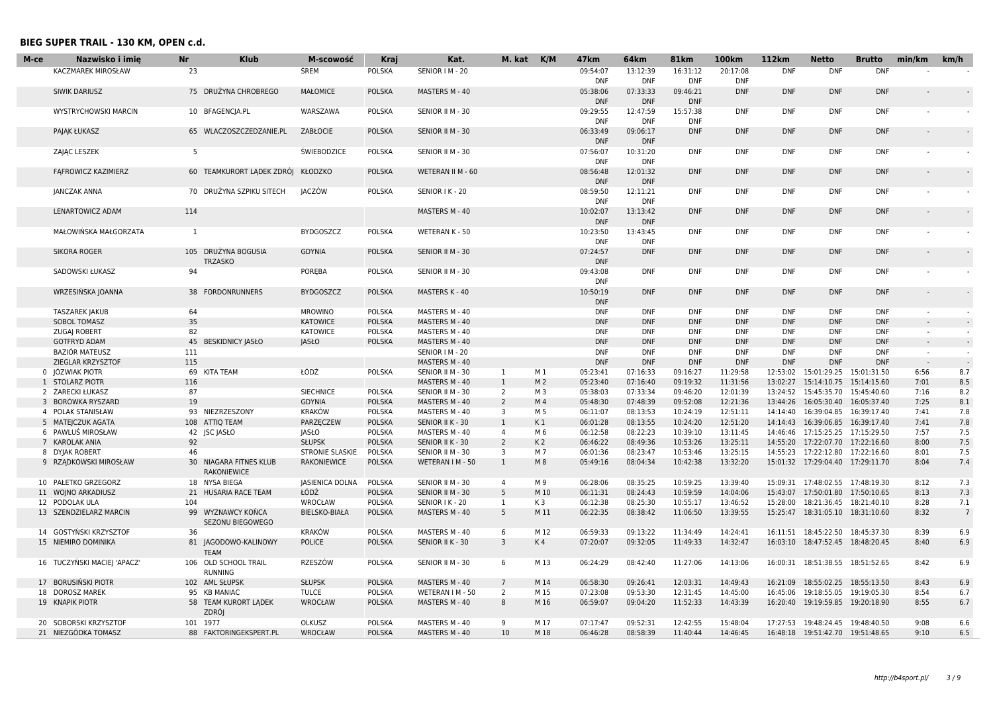| M-ce | Nazwisko i imię                    | <b>Nr</b> | <b>Klub</b>               | M-scowość                        | Kraj                           | Kat.                                 | M. kat                           | K/M                   | 47 <sub>km</sub>       | 64km                     | <b>81km</b>            | <b>100km</b>         | 112km      | <b>Netto</b>                                                         | <b>Brutto</b> | min/km                   | km/h            |
|------|------------------------------------|-----------|---------------------------|----------------------------------|--------------------------------|--------------------------------------|----------------------------------|-----------------------|------------------------|--------------------------|------------------------|----------------------|------------|----------------------------------------------------------------------|---------------|--------------------------|-----------------|
|      | KACZMAREK MIROSŁAW                 | 23        |                           | ŚREM                             | <b>POLSKA</b>                  | SENIOR   M - 20                      |                                  |                       | 09:54:07               | 13:12:39                 | 16:31:12               | 20:17:08             | <b>DNF</b> | <b>DNF</b>                                                           | <b>DNF</b>    |                          |                 |
|      |                                    |           |                           |                                  |                                |                                      |                                  |                       | <b>DNF</b>             | <b>DNF</b>               | <b>DNF</b>             | <b>DNF</b>           |            |                                                                      |               |                          |                 |
|      | SIWIK DARIUSZ                      |           | 75 DRUŻYNA CHROBREGO      | <b>MAŁOMICE</b>                  | <b>POLSKA</b>                  | MASTERS M - 40                       |                                  |                       | 05:38:06<br><b>DNF</b> | 07:33:33<br><b>DNF</b>   | 09:46:21<br><b>DNF</b> | <b>DNF</b>           | <b>DNF</b> | <b>DNF</b>                                                           | <b>DNF</b>    |                          |                 |
|      | <b>WYSTRYCHOWSKI MARCIN</b>        |           | 10 BFAGENCIA.PL           | WARSZAWA                         | POLSKA                         | SENIOR II M - 30                     |                                  |                       | 09:29:55               | 12:47:59                 | 15:57:38               | <b>DNF</b>           | <b>DNF</b> | <b>DNF</b>                                                           | <b>DNF</b>    |                          |                 |
|      |                                    |           |                           |                                  |                                |                                      |                                  |                       | <b>DNF</b>             | <b>DNF</b>               | <b>DNF</b>             |                      |            |                                                                      |               |                          |                 |
|      | PAJAK ŁUKASZ                       |           | 65 WLACZOSZCZEDZANIE.PL   | ZABŁOCIE                         | <b>POLSKA</b>                  | SENIOR II M - 30                     |                                  |                       | 06:33:49               | 09:06:17                 | <b>DNF</b>             | <b>DNF</b>           | <b>DNF</b> | <b>DNF</b>                                                           | <b>DNF</b>    |                          |                 |
|      |                                    |           |                           |                                  |                                |                                      |                                  |                       | <b>DNF</b>             | <b>DNF</b>               |                        |                      |            |                                                                      |               |                          |                 |
|      | ZAJĄC LESZEK                       | -5        |                           | <b>ŚWIEBODZICE</b>               | POLSKA                         | SENIOR II M - 30                     |                                  |                       | 07:56:07               | 10:31:20                 | <b>DNF</b>             | <b>DNF</b>           | <b>DNF</b> | <b>DNF</b>                                                           | <b>DNF</b>    |                          |                 |
|      |                                    |           |                           | <b>KŁODZKO</b>                   |                                | WETERAN II M - 60                    |                                  |                       | <b>DNF</b><br>08:56:48 | <b>DNF</b>               | <b>DNF</b>             | <b>DNF</b>           | <b>DNF</b> | <b>DNF</b>                                                           | <b>DNF</b>    |                          |                 |
|      | FAFROWICZ KAZIMIERZ                |           | 60 TEAMKURORT LADEK ZDRÓJ |                                  | <b>POLSKA</b>                  |                                      |                                  |                       | <b>DNF</b>             | 12:01:32<br><b>DNF</b>   |                        |                      |            |                                                                      |               |                          |                 |
|      | JANCZAK ANNA                       |           | 70 DRUŻYNA SZPIKU SITECH  | JACZÓW                           | <b>POLSKA</b>                  | SENIOR I K - 20                      |                                  |                       | 08:59:50               | 12:11:21                 | <b>DNF</b>             | <b>DNF</b>           | DNF        | <b>DNF</b>                                                           | <b>DNF</b>    |                          |                 |
|      |                                    |           |                           |                                  |                                |                                      |                                  |                       | <b>DNF</b>             | <b>DNF</b>               |                        |                      |            |                                                                      |               |                          |                 |
|      | LENARTOWICZ ADAM                   | 114       |                           |                                  |                                | MASTERS M - 40                       |                                  |                       | 10:02:07               | 13:13:42                 | <b>DNF</b>             | <b>DNF</b>           | <b>DNF</b> | <b>DNF</b>                                                           | <b>DNF</b>    |                          |                 |
|      |                                    |           |                           |                                  |                                |                                      |                                  |                       | <b>DNF</b>             | <b>DNF</b>               |                        |                      |            |                                                                      |               |                          |                 |
|      | MAŁOWIŃSKA MAŁGORZATA              | 1         |                           | <b>BYDGOSZCZ</b>                 | POLSKA                         | WETERAN K - 50                       |                                  |                       | 10:23:50               | 13:43:45                 | <b>DNF</b>             | <b>DNF</b>           | <b>DNF</b> | <b>DNF</b>                                                           | <b>DNF</b>    |                          |                 |
|      |                                    |           | 105 DRUŻYNA BOGUSIA       | <b>GDYNIA</b>                    | <b>POLSKA</b>                  |                                      |                                  |                       | <b>DNF</b><br>07:24:57 | <b>DNF</b><br><b>DNF</b> |                        | <b>DNF</b>           | <b>DNF</b> | <b>DNF</b>                                                           | <b>DNF</b>    |                          |                 |
|      | <b>SIKORA ROGER</b>                |           | <b>TRZASKO</b>            |                                  |                                | SENIOR II M - 30                     |                                  |                       | <b>DNF</b>             |                          | <b>DNF</b>             |                      |            |                                                                      |               |                          |                 |
|      | SADOWSKI ŁUKASZ                    | 94        |                           | POREBA                           | <b>POLSKA</b>                  | SENIOR II M - 30                     |                                  |                       | 09:43:08               | <b>DNF</b>               | <b>DNF</b>             | <b>DNF</b>           | <b>DNF</b> | <b>DNF</b>                                                           | <b>DNF</b>    |                          |                 |
|      |                                    |           |                           |                                  |                                |                                      |                                  |                       | <b>DNF</b>             |                          |                        |                      |            |                                                                      |               |                          |                 |
|      | WRZESIŃSKA JOANNA                  |           | 38 FORDONRUNNERS          | <b>BYDGOSZCZ</b>                 | <b>POLSKA</b>                  | MASTERS K - 40                       |                                  |                       | 10:50:19               | <b>DNF</b>               | <b>DNF</b>             | <b>DNF</b>           | <b>DNF</b> | <b>DNF</b>                                                           | <b>DNF</b>    |                          |                 |
|      |                                    |           |                           |                                  |                                |                                      |                                  |                       | <b>DNF</b>             |                          |                        |                      |            |                                                                      |               |                          |                 |
|      | <b>TASZAREK JAKUB</b>              | 64        |                           | <b>MROWINO</b>                   | POLSKA                         | MASTERS M - 40                       |                                  |                       | <b>DNF</b>             | <b>DNF</b>               | <b>DNF</b>             | <b>DNF</b>           | <b>DNF</b> | <b>DNF</b>                                                           | <b>DNF</b>    |                          |                 |
|      | SOBOL TOMASZ                       | 35        |                           | <b>KATOWICE</b>                  | <b>POLSKA</b>                  | MASTERS M - 40                       |                                  |                       | <b>DNF</b>             | <b>DNF</b>               | <b>DNF</b>             | <b>DNF</b>           | <b>DNF</b> | <b>DNF</b>                                                           | <b>DNF</b>    |                          |                 |
|      | ZUGAJ ROBERT                       | 82        |                           | KATOWICE                         | <b>POLSKA</b>                  | MASTERS M - 40                       |                                  |                       | <b>DNF</b>             | <b>DNF</b>               | <b>DNF</b>             | <b>DNF</b>           | <b>DNF</b> | <b>DNF</b>                                                           | <b>DNF</b>    | $\overline{\phantom{0}}$ |                 |
|      | <b>GOTFRYD ADAM</b>                |           | 45 BESKIDNICY JASŁO       | <b>JASŁO</b>                     | <b>POLSKA</b>                  | MASTERS M - 40                       |                                  |                       | <b>DNF</b>             | <b>DNF</b>               | <b>DNF</b>             | <b>DNF</b>           | <b>DNF</b> | <b>DNF</b>                                                           | <b>DNF</b>    |                          |                 |
|      | <b>BAZIÓR MATEUSZ</b>              | 111       |                           |                                  |                                | SENIOR   M - 20                      |                                  |                       | <b>DNF</b>             | <b>DNF</b>               | <b>DNF</b>             | <b>DNF</b>           | <b>DNF</b> | <b>DNF</b>                                                           | <b>DNF</b>    | $\sim$                   | $\sim$          |
|      | ZIEGLAR KRZYSZTOF                  | 115       |                           |                                  |                                | MASTERS M - 40                       |                                  |                       | <b>DNF</b>             | <b>DNF</b>               | <b>DNF</b>             | <b>DNF</b>           | <b>DNF</b> | <b>DNF</b>                                                           | <b>DNF</b>    |                          | $\sim$          |
|      | 0 JÓZWIAK PIOTR                    | 69        | <b>KITA TEAM</b>          | ŁÓDŹ                             | <b>POLSKA</b>                  | SENIOR II M - 30                     | 1                                | M 1                   | 05:23:41               | 07:16:33                 | 09:16:27               | 11:29:58             | 12:53:02   | 15:01:29.25  15:01:31.50                                             |               | 6:56                     | 8.7             |
|      | 1 STOLARZ PIOTR                    | 116       |                           |                                  |                                | MASTERS M - 40                       | $\mathbf{1}$                     | M <sub>2</sub>        | 05:23:40               | 07:16:40                 | 09:19:32               | 11:31:56             | 13:02:27   | 15:14:10.75  15:14:15.60                                             |               | 7:01                     | 8.5             |
|      | 2 ŻARECKI ŁUKASZ                   | 87        |                           | <b>SIECHNICE</b>                 | <b>POLSKA</b>                  | SENIOR II M - 30                     | 2                                | M <sub>3</sub>        | 05:38:03               | 07:33:34                 | 09:46:20               | 12:01:39             |            | 13:24:52 15:45:35.70 15:45:40.60                                     |               | 7:16                     | 8.2             |
|      | 3 BORÓWKA RYSZARD                  | 19        |                           | <b>GDYNIA</b>                    | <b>POLSKA</b>                  | MASTERS M - 40                       | 2                                | M 4                   | 05:48:30               | 07:48:39                 | 09:52:08               | 12:21:36             |            | 13:44:26 16:05:30.40 16:05:37.40                                     |               | 7:25                     | 8.1             |
|      | 4 POLAK STANISŁAW                  |           | 93 NIEZRZESZONY           | KRAKÓW                           | POLSKA                         | MASTERS M - 40                       | $\overline{\mathbf{3}}$          | M 5                   | 06:11:07               | 08:13:53                 | 10:24:19               | 12:51:11             | 14:14:40   | 16:39:04.85                                                          | 16:39:17.40   | 7:41                     | 7.8             |
|      | 5 MATEJCZUK AGATA                  |           | 108 ATTIQ TEAM            | PARZĘCZEW                        | <b>POLSKA</b>                  | SENIOR II K - 30                     | $\mathbf{1}$                     | K1                    | 06:01:28               | 08:13:55                 | 10:24:20               | 12:51:20             |            | 14:14:43  16:39:06.85  16:39:17.40                                   |               | 7:41                     | 7.8             |
|      | 6 PAWLUŚ MIROSŁAW                  |           | 42 JSC JASŁO              | JASŁO                            | <b>POLSKA</b>                  | MASTERS M - 40                       | $\overline{a}$<br>$\overline{2}$ | M 6                   | 06:12:58               | 08:22:23<br>08:49:36     | 10:39:10               | 13:11:45<br>13:25:11 |            | 14:46:46 17:15:25.25 17:15:29.50                                     |               | 7:57                     | 7.5<br>7.5      |
|      | 7 KAROLAK ANIA<br>8 DYJAK ROBERT   | 92<br>46  |                           | <b>SŁUPSK</b><br>STRONIE SLASKIE | <b>POLSKA</b><br>POLSKA        | SENIOR II K - 30<br>SENIOR II M - 30 | 3                                | K <sub>2</sub><br>M 7 | 06:46:22<br>06:01:36   | 08:23:47                 | 10:53:26<br>10:53:46   | 13:25:15             |            | 14:55:20 17:22:07.70 17:22:16.60<br>14:55:23 17:22:12.80 17:22:16.60 |               | 8:00<br>8:01             | 7.5             |
|      | 9 RZĄDKOWSKI MIROSŁAW              |           | 30 NIAGARA FITNES KLUB    | <b>RAKONIEWICE</b>               | <b>POLSKA</b>                  | WETERAN I M - 50                     | $\mathbf{1}$                     | M 8                   | 05:49:16               | 08:04:34                 | 10:42:38               | 13:32:20             |            | 15:01:32 17:29:04.40 17:29:11.70                                     |               | 8:04                     | 7.4             |
|      |                                    |           | <b>RAKONIEWICE</b>        |                                  |                                |                                      |                                  |                       |                        |                          |                        |                      |            |                                                                      |               |                          |                 |
|      | 10 PAŁETKO GRZEGORZ                |           | 18 NYSA BIEGA             | <b>JASIENICA DOLNA</b>           | POLSKA                         | SENIOR II M - 30                     | 4                                | M 9                   | 06:28:06               | 08:35:25                 | 10:59:25               | 13:39:40             |            | 15:09:31 17:48:02.55 17:48:19.30                                     |               | 8:12                     | 7.3             |
|      | 11 WOINO ARKADIUSZ                 |           | 21 HUSARIA RACE TEAM      | ŁÓDŹ                             | <b>POLSKA</b>                  | SENIOR II M - 30                     | 5                                | M 10                  | 06:11:31               | 08:24:43                 | 10:59:59               | 14:04:06             |            | 15:43:07 17:50:01.80 17:50:10.65                                     |               | 8:13                     | 7.3             |
|      | 12 PODOLAK ULA                     | 104       |                           | WROCŁAW                          | <b>POLSKA</b>                  | SENIOR I K - 20                      | 1                                | K3                    | 06:12:38               | 08:25:30                 | 10:55:17               | 13:46:52             | 15:28:00   | 18:21:36.45  18:21:40.10                                             |               | 8:28                     | 7.1             |
|      | 13 SZENDZIELARZ MARCIN             |           | 99 WYZNAWCY KOŃCA         | BIELSKO-BIAŁA                    | <b>POLSKA</b>                  | MASTERS M - 40                       | 5                                | M 11                  | 06:22:35               | 08:38:42                 | 11:06:50               | 13:39:55             |            | 15:25:47 18:31:05.10 18:31:10.60                                     |               | 8:32                     | $7\overline{ }$ |
|      |                                    |           | SEZONU BIEGOWEGO          |                                  |                                |                                      |                                  |                       |                        |                          |                        |                      |            |                                                                      |               |                          |                 |
|      | 14 GOSTYNSKI KRZYSZTOF             | 36        |                           | <b>KRAKÓW</b>                    | <b>POLSKA</b>                  | MASTERS M - 40                       | 6                                | M 12                  | 06:59:33               | 09:13:22                 | 11:34:49               | 14:24:41             |            | 16:11:51  18:45:22.50  18:45:37.30                                   |               | 8:39                     | 6.9             |
|      | 15 NIEMIRO DOMINIKA                |           | 81 JAGODOWO-KALINOWY      | <b>POLICE</b>                    | <b>POLSKA</b>                  | SENIOR II K - 30                     | 3                                | K 4                   | 07:20:07               | 09:32:05                 | 11:49:33               | 14:32:47             |            | 16:03:10 18:47:52.45 18:48:20.45                                     |               | 8:40                     | 6.9             |
|      |                                    |           | <b>TEAM</b>               |                                  |                                |                                      |                                  |                       |                        |                          |                        |                      |            |                                                                      |               |                          |                 |
|      | 16 TUCZYŃSKI MACIEJ 'APACZ'        |           | 106 OLD SCHOOL TRAIL      | RZESZÓW                          | POLSKA                         | SENIOR II M - 30                     | 6                                | M 13                  | 06:24:29               | 08:42:40                 | 11:27:06               | 14:13:06             |            | 16:00:31 18:51:38.55 18:51:52.65                                     |               | 8:42                     | 6.9             |
|      |                                    |           | RUNNING<br>102 AML SŁUPSK | <b>SŁUPSK</b>                    | <b>POLSKA</b>                  |                                      | $\overline{7}$                   | M 14                  | 06:58:30               | 09:26:41                 | 12:03:31               | 14:49:43             |            | 16:21:09 18:55:02.25 18:55:13.50                                     |               | 8:43                     |                 |
|      | 17 BORUSIŃSKI PIOTR                |           | 95 KB MANIAC              |                                  |                                | MASTERS M - 40                       |                                  | M 15                  |                        |                          |                        |                      |            |                                                                      |               | 8:54                     | 6.9             |
|      | 18 DOROSZ MAREK<br>19 KNAPIK PIOTR |           | 58 TEAM KURORT LADEK      | <b>TULCE</b><br>WROCŁAW          | <b>POLSKA</b><br><b>POLSKA</b> | WETERAN I M - 50<br>MASTERS M - 40   | 2<br>8                           | M 16                  | 07:23:08<br>06:59:07   | 09:53:30<br>09:04:20     | 12:31:45<br>11:52:33   | 14:45:00<br>14:43:39 |            | 16:45:06 19:18:55.05 19:19:05.30<br>16:20:40 19:19:59.85 19:20:18.90 |               | 8:55                     | 6.7<br>6.7      |
|      |                                    |           | <b>ZDRÓJ</b>              |                                  |                                |                                      |                                  |                       |                        |                          |                        |                      |            |                                                                      |               |                          |                 |
|      | 20 SOBORSKI KRZYSZTOF              |           | 101 1977                  | OLKUSZ                           | <b>POLSKA</b>                  | MASTERS M - 40                       | q                                | M 17                  | 07:17:47               | 09:52:31                 | 12:42:55               | 15:48:04             |            | 17:27:53 19:48:24.45 19:48:40.50                                     |               | 9:08                     | 6.6             |
|      | 21 NIEZGÓDKA TOMASZ                |           | 88 FAKTORINGEKSPERT.PL    | <b>WROCŁAW</b>                   | <b>POLSKA</b>                  | MASTERS M - 40                       | 10                               | M 18                  | 06:46:28               | 08:58:39                 | 11:40:44               | 14:46:45             |            | 16:48:18  19:51:42.70  19:51:48.65                                   |               | 9:10                     | 6.5             |
|      |                                    |           |                           |                                  |                                |                                      |                                  |                       |                        |                          |                        |                      |            |                                                                      |               |                          |                 |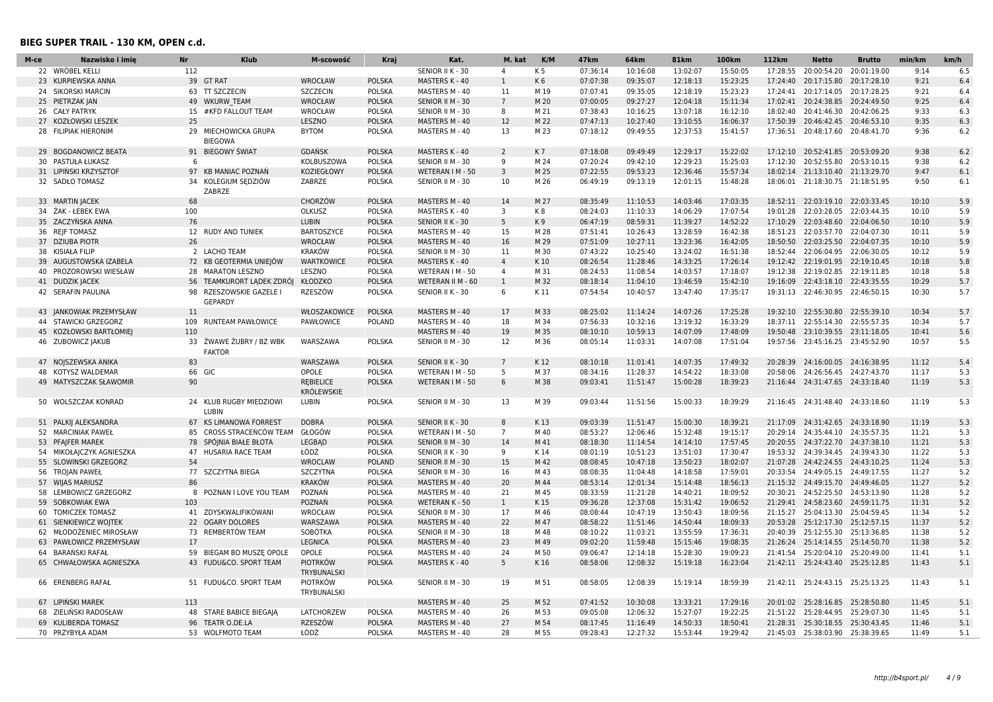I

| M-ce | Nazwisko i imie          | <b>Nr</b> | <b>Klub</b>                               | M-scowość                             | Kraj          | Kat.              | M. kat          | K/M            | 47 <sub>km</sub> | 64 <sub>km</sub> | <b>81km</b> | 100km    | 112km    | <b>Netto</b>                       | <b>Brutto</b> | min/km | km/h |
|------|--------------------------|-----------|-------------------------------------------|---------------------------------------|---------------|-------------------|-----------------|----------------|------------------|------------------|-------------|----------|----------|------------------------------------|---------------|--------|------|
|      | 22 WRÓBEL KELLI          | 112       |                                           |                                       |               | SENIOR II K - 30  | $\overline{a}$  | K <sub>5</sub> | 07:36:14         | 10:16:08         | 13:02:07    | 15:50:05 | 17:28:55 | 20:00:54.20                        | 20:01:19.00   | 9:14   | 6.5  |
|      | 23 KURPIEWSKA ANNA       |           | 39 GT RAT                                 | WROCŁAW                               | <b>POLSKA</b> | MASTERS K - 40    | $\mathbf{1}$    | K6             | 07:07:38         | 09:35:07         | 12:18:13    | 15:23:25 | 17:24:40 | 20:17:15.80                        | 20:17:28.10   | 9:21   | 6.4  |
|      | 24 SIKORSKI MARCIN       |           | 63 TT SZCZECIN                            | <b>SZCZECIN</b>                       | POLSKA        | MASTERS M - 40    | 11              | M 19           | 07:07:41         | 09:35:05         | 12:18:19    | 15:23:23 |          | 17:24:41 20:17:14.05 20:17:28.25   |               | 9:21   | 6.4  |
|      | 25 PIETRZAK JAN          |           | 49 WKURW TEAM                             | WROCŁAW                               | <b>POLSKA</b> | SENIOR II M - 30  | $\overline{7}$  | M 20           | 07:00:05         | 09:27:27         | 12:04:18    | 15:11:34 |          | 17:02:41 20:24:38.85 20:24:49.50   |               | 9:25   | 6.4  |
|      | 26 CAŁY PATRYK           |           | 15 #KFD FALLOUT TEAM                      | WROCŁAW                               | POLSKA        | SENIOR II M - 30  | 8               | M 21           | 07:38:43         | 10:16:25         | 13:07:18    | 16:12:10 |          | 18:02:40 20:41:46.30 20:42:06.25   |               | 9:33   | 6.3  |
| 27   | KOZŁOWSKI LESZEK         | 25        |                                           | LESZNO                                | <b>POLSKA</b> | MASTERS M - 40    | 12              | M 22           | 07:47:13         | 10:27:40         | 13:10:55    | 16:06:37 |          | 17:50:39 20:46:42.45 20:46:53.10   |               | 9:35   | 6.3  |
|      | 28 FILIPIAK HIERONIM     | 29        | MIECHOWICKA GRUPA<br><b>BIEGOWA</b>       | <b>BYTOM</b>                          | POLSKA        | MASTERS M - 40    | 13              | M 23           | 07:18:12         | 09:49:55         | 12:37:53    | 15:41:57 |          | 17:36:51  20:48:17.60  20:48:41.70 |               | 9:36   | 6.2  |
|      | 29 BOGDANOWICZ BEATA     |           | 91 BIEGOWY ŚWIAT                          | GDAŃSK                                | <b>POLSKA</b> | MASTERS K - 40    | $\overline{2}$  | K7             | 07:18:08         | 09:49:49         | 12:29:17    | 15:22:02 |          | 17:12:10 20:52:41.85 20:53:09.20   |               | 9:38   | 6.2  |
|      | 30 PASTUŁA ŁUKASZ        | 6         |                                           | KOLBUSZOWA                            | POLSKA        | SENIOR II M - 30  | 9               | M 24           | 07:20:24         | 09:42:10         | 12:29:23    | 15:25:03 | 17:12:30 | 20:52:55.80                        | 20:53:10.15   | 9:38   | 6.2  |
|      | 31 LIPINSKI KRZYSZTOF    |           | 97 KB MANIAC POZNAŃ                       | KOZIEGŁOWY                            | <b>POLSKA</b> | WETERAN I M - 50  | 3               | M 25           | 07:22:55         | 09:53:23         | 12:36:46    | 15:57:34 |          | 18:02:14 21:13:10.40 21:13:29.70   |               | 9:47   | 6.1  |
|      | 32 SADŁO TOMASZ          |           | 34 KOLEGIUM SEDZIÓW<br>ZABRZE             | ZABRZE                                | POLSKA        | SENIOR II M - 30  | 10              | M 26           | 06:49:19         | 09:13:19         | 12:01:15    | 15:48:28 |          | 18:06:01 21:18:30.75 21:18:51.95   |               | 9:50   | 6.1  |
|      | 33 MARTIN JACEK          | 68        |                                           | CHORZÓW                               | <b>POLSKA</b> | MASTERS M - 40    | 14              | M 27           | 08:35:49         | 11:10:53         | 14:03:46    | 17:03:35 |          | 18:52:11 22:03:19.10 22:03:33.45   |               | 10:10  | 5.9  |
|      | 34 ŻAK - ŁEBEK EWA       | 100       |                                           | OLKUSZ                                | POLSKA        | MASTERS K - 40    | 3               | K8             | 08:24:03         | 11:10:33         | 14:06:29    | 17:07:54 |          | 19:01:28 22:03:28.05 22:03:44.35   |               | 10:10  | 5.9  |
|      | 35 ZACZYŃSKA ANNA        | 76        |                                           | LUBIN                                 | <b>POLSKA</b> | SENIOR II K - 30  | 5               | K9             | 06:47:19         | 08:59:31         | 11:39:27    | 14:52:22 |          | 17:10:29 22:03:48.60 22:04:06.50   |               | 10:10  | 5.9  |
|      | 36 REJF TOMASZ           |           | 12 RUDY AND TUNIEK                        | <b>BARTOSZYCE</b>                     | POLSKA        | MASTERS M - 40    | 15              | M 28           | 07:51:41         | 10:26:43         | 13:28:59    | 16:42:38 |          | 18:51:23 22:03:57.70 22:04:07.30   |               | 10:11  | 5.9  |
|      | 37 DZIUBA PIOTR          | 26        |                                           | WROCŁAW                               | <b>POLSKA</b> | MASTERS M - 40    | 16              | M 29           | 07:51:09         | 10:27:11         | 13:23:36    | 16:42:05 |          | 18:50:50 22:03:25.50 22:04:07.35   |               | 10:10  | 5.9  |
|      | 38 KISIAŁA FILIP         |           | 2 LACHO TEAM                              | <b>KRAKÓW</b>                         | POLSKA        | SENIOR II M - 30  | 11              | M 30           | 07:43:22         | 10:25:40         | 13:24:02    | 16:51:38 |          | 18:52:44 22:06:04.95 22:06:30.05   |               | 10:12  | 5.9  |
|      | 39 AUGUSTOWSKA IZABELA   |           | 72 KB GEOTERMIA UNIEJÓW                   | <b>WARTKOWICE</b>                     | <b>POLSKA</b> | MASTERS K - 40    | $\overline{4}$  | K10            | 08:26:54         | 11:28:46         | 14:33:25    | 17:26:14 |          | 19:12:42 22:19:01.95 22:19:10.45   |               | 10:18  | 5.8  |
| 40   | PROZOROWSKI WIESŁAW      |           | 28 MARATON LESZNO                         | LESZNO                                | POLSKA        | WETERAN I M - 50  | 4               | M 31           | 08:24:53         | 11:08:54         | 14:03:57    | 17:18:07 |          | 19:12:38 22:19:02.85 22:19:11.85   |               | 10:18  | 5.8  |
|      | 41 DUDZIK JACEK          |           | 56 TEAMKURORT LADEK ZDRÓJ                 | KŁODZKO                               | <b>POLSKA</b> | WETERAN II M - 60 | $\mathbf{1}$    | M 32           | 08:18:14         | 11:04:10         | 13:46:59    | 15:42:10 |          | 19:16:09 22:43:18.10 22:43:35.55   |               | 10:29  | 5.7  |
|      | 42 SERAFIN PAULINA       |           | 98 RZESZOWSKIE GAZELE I<br><b>GEPARDY</b> | RZESZÓW                               | POLSKA        | SENIOR II K - 30  | 6               | K 11           | 07:54:54         | 10:40:57         | 13:47:40    | 17:35:17 |          | 19:31:13 22:46:30.95 22:46:50.15   |               | 10:30  | 5.7  |
|      | 43 JANKOWIAK PRZEMYSŁAW  | 11        |                                           | WŁOSZAKOWICE                          | <b>POLSKA</b> | MASTERS M - 40    | 17              | M 33           | 08:25:02         | 11:14:24         | 14:07:26    | 17:25:28 |          | 19:32:10 22:55:30.80               | 22:55:39.10   | 10:34  | 5.7  |
|      | 44 STAWICKI GRZEGORZ     |           | 109 RUNTEAM PAWŁOWICE                     | PAWŁOWICE                             | POLAND        | MASTERS M - 40    | 18              | M 34           | 07:56:33         | 10:32:16         | 13:19:32    | 16:33:29 |          | 18:37:11 22:55:14.30 22:55:57.35   |               | 10:34  | 5.7  |
|      | 45 KOZŁOWSKI BARTŁOMIEJ  | 110       |                                           |                                       |               | MASTERS M - 40    | 19              | M 35           | 08:10:10         | 10:59:13         | 14:07:09    | 17:48:09 |          | 19:50:48 23:10:39.55 23:11:18.05   |               | 10:41  | 5.6  |
|      | 46 ZUBOWICZ JAKUB        |           | 33 ŻWAWE ŻUBRY / BZ WBK<br><b>FAKTOR</b>  | WARSZAWA                              | POLSKA        | SENIOR II M - 30  | 12              | M 36           | 08:05:14         | 11:03:31         | 14:07:08    | 17:51:04 |          | 19:57:56 23:45:16.25 23:45:52.90   |               | 10:57  | 5.5  |
|      | 47 NOJSZEWSKA ANIKA      | 83        |                                           | WARSZAWA                              | <b>POLSKA</b> | SENIOR II K - 30  | $7\overline{ }$ | K12            | 08:10:18         | 11:01:41         | 14:07:35    | 17:49:32 |          | 20:28:39 24:16:00.05 24:16:38.95   |               | 11:12  | 5.4  |
|      | 48 KOTYSZ WALDEMAR       |           | 66 GIC                                    | OPOLE                                 | POLSKA        | WETERAN I M - 50  | 5               | M 37           | 08:34:16         | 11:28:37         | 14:54:22    | 18:33:08 |          | 20:58:06 24:26:56.45 24:27:43.70   |               | 11:17  | 5.3  |
|      | 49 MATYSZCZAK SŁAWOMIR   | 90        |                                           | <b>REBIELICE</b><br><b>KRÓLEWSKIE</b> | <b>POLSKA</b> | WETERAN I M - 50  | 6               | M 38           | 09:03:41         | 11:51:47         | 15:00:28    | 18:39:23 |          | 21:16:44 24:31:47.65 24:33:18.40   |               | 11:19  | 5.3  |
|      | 50 WOLSZCZAK KONRAD      |           | 24 KLUB RUGBY MIEDZIOWI<br><b>LUBIN</b>   | LUBIN                                 | <b>POLSKA</b> | SENIOR II M - 30  | 13              | M 39           | 09:03:44         | 11:51:56         | 15:00:33    | 18:39:29 |          | 21:16:45 24:31:48.40 24:33:18.60   |               | 11:19  | 5.3  |
|      | 51 PALKIJ ALEKSANDRA     |           | 67 KS LIMANOWA FORREST                    | <b>DOBRA</b>                          | <b>POLSKA</b> | SENIOR II K - 30  | 8               | K13            | 09:03:39         | 11:51:47         | 15:00:30    | 18:39:21 | 21:17:09 | 24:31:42.65 24:33:18.90            |               | 11:19  | 5.3  |
|      | 52 MARCINIAK PAWEŁ       |           | 85 CROSS STRACENCOW TEAM                  | GŁOGÓW                                | <b>POLSKA</b> | WETERAN I M - 50  | $\overline{7}$  | M 40           | 08:53:27         | 12:06:46         | 15:32:48    | 19:15:17 |          | 20:29:14 24:35:44.10 24:35:57.35   |               | 11:21  | 5.3  |
|      | 53 PFAJFER MAREK         |           | 78 SPÓJNIA BIAŁE BŁOTA                    | LEGBAD                                | <b>POLSKA</b> | SENIOR II M - 30  | 14              | M 41           | 08:18:30         | 11:14:54         | 14:14:10    | 17:57:45 |          | 20:20:55 24:37:22.70 24:37:38.10   |               | 11:21  | 5.3  |
|      | 54 MIKOŁAJCZYK AGNIESZKA |           | 47 HUSARIA RACE TEAM                      | ŁÓDŹ                                  | POLSKA        | SENIOR II K - 30  | 9               | K 14           | 08:01:19         | 10:51:23         | 13:51:03    | 17:30:47 |          | 19:53:32  24:39:34.45  24:39:43.30 |               | 11:22  | 5.3  |
|      | 55 SLOWINSKI GRZEGORZ    | 54        |                                           | WROCLAW                               | <b>POLAND</b> | SENIOR II M - 30  | 15              | M 42           | 08:08:45         | 10:47:18         | 13:50:23    | 18:02:07 |          | 21:07:28 24:42:24.55 24:43:10.25   |               | 11:24  | 5.3  |
|      | 56 TROJAN PAWEŁ          |           | 77 SZCZYTNA BIEGA                         | SZCZYTNA                              | POLSKA        | SENIOR II M - 30  | 16              | M 43           | 08:08:35         | 11:04:48         | 14:18:58    | 17:59:01 |          | 20:33:54 24:49:05.15 24:49:17.55   |               | 11:27  | 5.2  |
|      | 57 WIJAS MARIUSZ         | 86        |                                           | KRAKÓW                                | <b>POLSKA</b> | MASTERS M - 40    | 20              | M 44           | 08:53:14         | 12:01:34         | 15:14:48    | 18:56:13 |          | 21:15:32 24:49:15.70 24:49:46.05   |               | 11:27  | 5.2  |
|      | 58 LEMBOWICZ GRZEGORZ    | 8         | POZNAN I LOVE YOU TEAM                    | POZNAŃ                                | POLSKA        | MASTERS M - 40    | 21              | M 45           | 08:33:59         | 11:21:28         | 14:40:21    | 18:09:52 |          | 20:30:21 24:52:25.50 24:53:13.90   |               | 11:28  | 5.2  |
|      | 59 SOBKOWIAK EWA         | 103       |                                           | POZNAŃ                                | <b>POLSKA</b> | WETERAN K - 50    | $\mathbf{1}$    | K15            | 09:36:28         | 12:37:08         | 15:31:42    | 19:06:52 |          | 21:29:41 24:58:23.60 24:59:11.75   |               | 11:31  | 5.2  |
| 60   | <b>TOMICZEK TOMASZ</b>   |           | 41 ZDYSKWALIFIKOWANI                      | WROCŁAW                               | <b>POLSKA</b> | SENIOR II M - 30  | 17              | M 46           | 08:08:44         | 10:47:19         | 13:50:43    | 18:09:56 |          | 21:15:27 25:04:13.30 25:04:59.45   |               | 11:34  | 5.2  |
|      | 61 SIENKIEWICZ WOJTEK    |           | 22 OGARY DOLORES                          | WARSZAWA                              | <b>POLSKA</b> | MASTERS M - 40    | 22              | M 47           | 08:58:22         | 11:51:46         | 14:50:44    | 18:09:33 |          | 20:53:28 25:12:17.30 25:12:57.15   |               | 11:37  | 5.2  |
| 62   | MŁODOŻENIEC MIROSŁAW     | 73        | <b>REMBERTOW TEAM</b>                     | SOBÓTKA                               | <b>POLSKA</b> | SENIOR II M - 30  | 18              | M 48           | 08:10:22         | 11:03:21         | 13:55:59    | 17:36:31 | 20:40:39 | 25:12:55.30                        | 25:13:36.85   | 11:38  | 5.2  |
|      | 63 PAWŁOWICZ PRZEMYSŁAW  | 17        |                                           | <b>LEGNICA</b>                        | <b>POLSKA</b> | MASTERS M - 40    | 23              | M 49           | 09:02:20         | 11:59:48         | 15:15:46    | 19:08:35 |          | 21:26:24 25:14:14.55 25:14:50.70   |               | 11:38  | 5.2  |
| 64   | BARANSKI RAFAŁ           |           | 59 BIEGAM BO MUSZĘ OPOLE                  | OPOLE                                 | POLSKA        | MASTERS M - 40    | 24              | M 50           | 09:06:47         | 12:14:18         | 15:28:30    | 19:09:23 |          | 21:41:54 25:20:04.10 25:20:49.00   |               | 11:41  | 5.1  |
|      | 65 CHWAŁOWSKA AGNIESZKA  |           | 43 FUDU&CO. SPORT TEAM                    | <b>PIOTRKÓW</b><br>TRYBUNALSKI        | <b>POLSKA</b> | MASTERS K - 40    | 5               | K 16           | 08:58:06         | 12:08:32         | 15:19:18    | 16:23:04 |          | 21:42:11 25:24:43.40 25:25:12.85   |               | 11:43  | 5.1  |
|      | 66 ERENBERG RAFAŁ        |           | 51 FUDU&CO. SPORT TEAM                    | PIOTRKÓW<br>TRYBUNALSKI               | POLSKA        | SENIOR II M - 30  | 19              | M 51           | 08:58:05         | 12:08:39         | 15:19:14    | 18:59:39 |          | 21:42:11 25:24:43.15 25:25:13.25   |               | 11:43  | 5.1  |
|      | 67 LIPIŃSKI MAREK        | 113       |                                           |                                       |               | MASTERS M - 40    | 25              | M 52           | 07:41:52         | 10:30:08         | 13:33:21    | 17:29:16 |          | 20:01:02 25:28:16.85               | 25:28:50.80   | 11:45  | 5.1  |
|      | 68 ZIELIŃSKI RADOSŁAW    |           | 48 STARE BABICE BIEGAJA                   | LATCHORZEW                            | POLSKA        | MASTERS M - 40    | 26              | M 53           | 09:05:08         | 12:06:32         | 15:27:07    | 19:22:25 |          | 21:51:22 25:28:44.95               | 25:29:07.30   | 11:45  | 5.1  |
|      | 69 KULIBERDA TOMASZ      |           | 96 TEATR O.DE.LA                          | RZESZÓW                               | <b>POLSKA</b> | MASTERS M - 40    | 27              | M 54           | 08:17:45         | 11:16:49         | 14:50:33    | 18:50:41 |          | 21:28:31 25:30:18.55 25:30:43.45   |               | 11:46  | 5.1  |
|      | 70 PRZYBYŁA ADAM         |           | 53 WOLFMOTO TEAM                          | ŁÓDŹ                                  | POLSKA        | MASTERS M - 40    | 28              | M 55           | 09:28:43         | 12:27:32         | 15:53:44    | 19:29:42 |          | 21:45:03 25:38:03.90 25:38:39.65   |               | 11:49  | 5.1  |
|      |                          |           |                                           |                                       |               |                   |                 |                |                  |                  |             |          |          |                                    |               |        |      |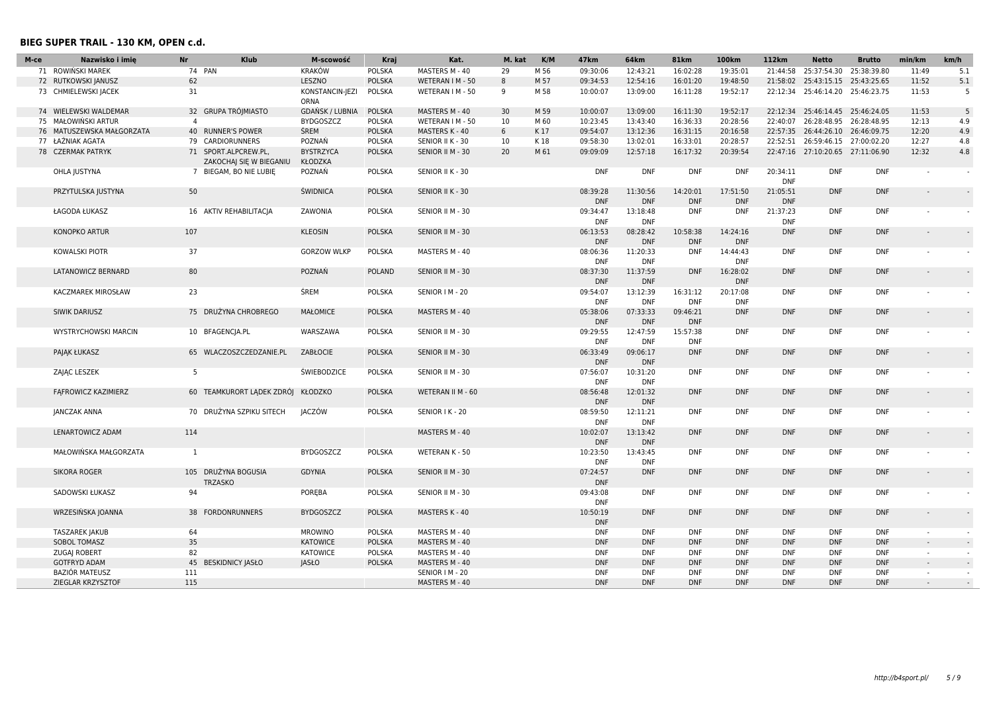| M-ce | Nazwisko i imie             | <b>Nr</b><br>Klub                              | M-scowość                      | Kraj          | Kat.              | M. kat | K/M  | 47 <sub>km</sub>       | 64km                   | <b>81km</b>            | 100km                  | 112km                  | <b>Netto</b>                     | <b>Brutto</b> | min/km                   | km/h |
|------|-----------------------------|------------------------------------------------|--------------------------------|---------------|-------------------|--------|------|------------------------|------------------------|------------------------|------------------------|------------------------|----------------------------------|---------------|--------------------------|------|
|      | 71 ROWIŃSKI MAREK           | 74 PAN                                         | <b>KRAKÓW</b>                  | <b>POLSKA</b> | MASTERS M - 40    | 29     | M 56 | 09:30:06               | 12:43:21               | 16:02:28               | 19:35:01               |                        | 21:44:58 25:37:54.30             | 25:38:39.80   | 11:49                    | 5.1  |
|      | 72 RUTKOWSKI JANUSZ         | 62                                             | LESZNO                         | <b>POLSKA</b> | WETERAN I M - 50  | 8      | M 57 | 09:34:53               | 12:54:16               | 16:01:20               | 19:48:50               |                        | 21:58:02 25:43:15.15 25:43:25.65 |               | 11:52                    | 5.1  |
|      | 73 CHMIELEWSKI JACEK        | 31                                             | KONSTANCIN-JEZI<br><b>ORNA</b> | POLSKA        | WETERAN I M - 50  | 9      | M 58 | 10:00:07               | 13:09:00               | 16:11:28               | 19:52:17               |                        | 22:12:34 25:46:14.20 25:46:23.75 |               | 11:53                    | 5    |
|      | 74 WIELEWSKI WALDEMAR       | 32 GRUPA TRÓJMIASTO                            | GDAŃSK / LUBNIA                | <b>POLSKA</b> | MASTERS M - 40    | 30     | M 59 | 10:00:07               | 13:09:00               | 16:11:30               | 19:52:17               |                        | 22:12:34 25:46:14.45 25:46:24.05 |               | 11:53                    | 5    |
| 75   | MAŁOWIŃSKI ARTUR            | $\overline{4}$                                 | <b>BYDGOSZCZ</b>               | <b>POLSKA</b> | WETERAN I M - 50  | 10     | M 60 | 10:23:45               | 13:43:40               | 16:36:33               | 20:28:56               |                        | 22:40:07 26:28:48.95 26:28:48.95 |               | 12:13                    | 4.9  |
|      | 76 MATUSZEWSKA MAŁGORZATA   | 40 RUNNER'S POWER                              | <b>ŚREM</b>                    | <b>POLSKA</b> | MASTERS K - 40    | 6      | K17  | 09:54:07               | 13:12:36               | 16:31:15               | 20:16:58               |                        | 22:57:35 26:44:26.10 26:46:09.75 |               | 12:20                    | 4.9  |
|      | 77 ŁAŹNIAK AGATA            | 79 CARDIORUNNERS                               | POZNAŃ                         | POLSKA        | SENIOR II K - 30  | 10     | K 18 | 09:58:30               | 13:02:01               | 16:33:01               | 20:28:57               |                        | 22:52:51 26:59:46.15 27:00:02.20 |               | 12:27                    | 4.8  |
|      | 78 CZERMAK PATRYK           | 71 SPORT.ALPCREW.PL<br>ZAKOCHAJ SIĘ W BIEGANIU | <b>BYSTRZYCA</b><br>KŁODZKA    | <b>POLSKA</b> | SENIOR II M - 30  | 20     | M 61 | 09:09:09               | 12:57:18               | 16:17:32               | 20:39:54               |                        | 22:47:16 27:10:20.65 27:11:06.90 |               | 12:32                    | 4.8  |
|      | OHLA JUSTYNA                | 7 BIEGAM, BO NIE LUBIE                         | POZNAŃ                         | POLSKA        | SENIOR II K - 30  |        |      | <b>DNF</b>             | <b>DNF</b>             | <b>DNF</b>             | <b>DNF</b>             | 20:34:11<br><b>DNF</b> | <b>DNF</b>                       | <b>DNF</b>    |                          |      |
|      | PRZYTULSKA JUSTYNA          | 50                                             | ŚWIDNICA                       | <b>POLSKA</b> | SENIOR II K - 30  |        |      | 08:39:28<br><b>DNF</b> | 11:30:56<br><b>DNF</b> | 14:20:01<br><b>DNF</b> | 17:51:50<br><b>DNF</b> | 21:05:51<br><b>DNF</b> | <b>DNF</b>                       | <b>DNF</b>    |                          |      |
|      | ŁAGODA ŁUKASZ               | 16 AKTIV REHABILITACIA                         | ZAWONIA                        | POLSKA        | SENIOR II M - 30  |        |      | 09:34:47<br><b>DNF</b> | 13:18:48<br><b>DNF</b> | <b>DNF</b>             | <b>DNF</b>             | 21:37:23<br><b>DNF</b> | DNF                              | <b>DNF</b>    |                          |      |
|      | KONOPKO ARTUR               | 107                                            | <b>KLEOSIN</b>                 | <b>POLSKA</b> | SENIOR II M - 30  |        |      | 06:13:53<br><b>DNF</b> | 08:28:42<br><b>DNF</b> | 10:58:38<br><b>DNF</b> | 14:24:16<br><b>DNF</b> | <b>DNF</b>             | <b>DNF</b>                       | <b>DNF</b>    |                          |      |
|      | <b>KOWALSKI PIOTR</b>       | 37                                             | <b>GORZOW WLKP</b>             | POLSKA        | MASTERS M - 40    |        |      | 08:06:36<br><b>DNF</b> | 11:20:33<br><b>DNF</b> | <b>DNF</b>             | 14:44:43<br><b>DNF</b> | <b>DNF</b>             | <b>DNF</b>                       | <b>DNF</b>    |                          |      |
|      | <b>LATANOWICZ BERNARD</b>   | 80                                             | POZNAŃ                         | <b>POLAND</b> | SENIOR II M - 30  |        |      | 08:37:30<br><b>DNF</b> | 11:37:59<br><b>DNF</b> | <b>DNF</b>             | 16:28:02<br><b>DNF</b> | <b>DNF</b>             | <b>DNF</b>                       | <b>DNF</b>    |                          |      |
|      | KACZMAREK MIROSŁAW          | 23                                             | ŚREM                           | POLSKA        | SENIOR   M - 20   |        |      | 09:54:07<br><b>DNF</b> | 13:12:39<br><b>DNF</b> | 16:31:12<br><b>DNF</b> | 20:17:08<br><b>DNF</b> | <b>DNF</b>             | <b>DNF</b>                       | <b>DNF</b>    |                          |      |
|      | SIWIK DARIUSZ               | 75 DRUŻYNA CHROBREGO                           | <b>MAŁOMICE</b>                | <b>POLSKA</b> | MASTERS M - 40    |        |      | 05:38:06<br><b>DNF</b> | 07:33:33<br><b>DNF</b> | 09:46:21<br><b>DNF</b> | <b>DNF</b>             | <b>DNF</b>             | <b>DNF</b>                       | <b>DNF</b>    | $\overline{a}$           |      |
|      | <b>WYSTRYCHOWSKI MARCIN</b> | 10 BFAGENCIA.PL                                | WARSZAWA                       | POLSKA        | SENIOR II M - 30  |        |      | 09:29:55<br><b>DNF</b> | 12:47:59<br><b>DNF</b> | 15:57:38<br><b>DNF</b> | <b>DNF</b>             | <b>DNF</b>             | DNF                              | <b>DNF</b>    |                          |      |
|      | PAJAK ŁUKASZ                | 65 WLACZOSZCZEDZANIE.PL                        | ZABŁOCIE                       | <b>POLSKA</b> | SENIOR II M - 30  |        |      | 06:33:49<br><b>DNF</b> | 09:06:17<br><b>DNF</b> | <b>DNF</b>             | <b>DNF</b>             | <b>DNF</b>             | <b>DNF</b>                       | <b>DNF</b>    |                          |      |
|      | ZAJĄC LESZEK                | 5                                              | <b>ŚWIEBODZICE</b>             | POLSKA        | SENIOR II M - 30  |        |      | 07:56:07<br><b>DNF</b> | 10:31:20<br><b>DNF</b> | <b>DNF</b>             | <b>DNF</b>             | <b>DNF</b>             | <b>DNF</b>                       | <b>DNF</b>    |                          |      |
|      | FAFROWICZ KAZIMIERZ         | 60 TEAMKURORT LADEK ZDRÓJ                      | <b>KŁODZKO</b>                 | <b>POLSKA</b> | WETERAN II M - 60 |        |      | 08:56:48<br><b>DNF</b> | 12:01:32<br><b>DNF</b> | <b>DNF</b>             | <b>DNF</b>             | <b>DNF</b>             | <b>DNF</b>                       | <b>DNF</b>    |                          |      |
|      | JANCZAK ANNA                | 70 DRUŻYNA SZPIKU SITECH                       | JACZÓW                         | POLSKA        | SENIOR I K - 20   |        |      | 08:59:50<br><b>DNF</b> | 12:11:21<br><b>DNF</b> | <b>DNF</b>             | <b>DNF</b>             | <b>DNF</b>             | <b>DNF</b>                       | <b>DNF</b>    |                          |      |
|      | LENARTOWICZ ADAM            | 114                                            |                                |               | MASTERS M - 40    |        |      | 10:02:07<br><b>DNF</b> | 13:13:42<br><b>DNF</b> | <b>DNF</b>             | <b>DNF</b>             | <b>DNF</b>             | <b>DNF</b>                       | <b>DNF</b>    |                          |      |
|      | MAŁOWIŃSKA MAŁGORZATA       | <sup>1</sup>                                   | <b>BYDGOSZCZ</b>               | POLSKA        | WETERAN K - 50    |        |      | 10:23:50<br><b>DNF</b> | 13:43:45<br><b>DNF</b> | DNF                    | <b>DNF</b>             | <b>DNF</b>             | <b>DNF</b>                       | <b>DNF</b>    |                          |      |
|      | <b>SIKORA ROGER</b>         | 105 DRUŻYNA BOGUSIA<br><b>TRZASKO</b>          | <b>GDYNIA</b>                  | <b>POLSKA</b> | SENIOR II M - 30  |        |      | 07:24:57<br><b>DNF</b> | <b>DNF</b>             | <b>DNF</b>             | <b>DNF</b>             | <b>DNF</b>             | <b>DNF</b>                       | <b>DNF</b>    |                          |      |
|      | SADOWSKI ŁUKASZ             | 94                                             | POREBA                         | POLSKA        | SENIOR II M - 30  |        |      | 09:43:08<br><b>DNF</b> | <b>DNF</b>             | <b>DNF</b>             | <b>DNF</b>             | <b>DNF</b>             | <b>DNF</b>                       | <b>DNF</b>    |                          |      |
|      | WRZESIŃSKA JOANNA           | 38 FORDONRUNNERS                               | <b>BYDGOSZCZ</b>               | <b>POLSKA</b> | MASTERS K - 40    |        |      | 10:50:19<br><b>DNF</b> | <b>DNF</b>             | <b>DNF</b>             | <b>DNF</b>             | <b>DNF</b>             | <b>DNF</b>                       | <b>DNF</b>    |                          |      |
|      | <b>TASZAREK JAKUB</b>       | 64                                             | <b>MROWINO</b>                 | POLSKA        | MASTERS M - 40    |        |      | <b>DNF</b>             | <b>DNF</b>             | <b>DNF</b>             | <b>DNF</b>             | <b>DNF</b>             | <b>DNF</b>                       | <b>DNF</b>    | $\overline{\phantom{a}}$ |      |
|      | SOBOL TOMASZ                | 35                                             | <b>KATOWICE</b>                | <b>POLSKA</b> | MASTERS M - 40    |        |      | <b>DNF</b>             | <b>DNF</b>             | <b>DNF</b>             | <b>DNF</b>             | <b>DNF</b>             | <b>DNF</b>                       | <b>DNF</b>    |                          |      |
|      | <b>ZUGAJ ROBERT</b>         | 82                                             | <b>KATOWICE</b>                | POLSKA        | MASTERS M - 40    |        |      | <b>DNF</b>             | <b>DNF</b>             | <b>DNF</b>             | <b>DNF</b>             | <b>DNF</b>             | <b>DNF</b>                       | <b>DNF</b>    | $\sim$                   |      |
|      | <b>GOTFRYD ADAM</b>         | 45 BESKIDNICY JASŁO                            | <b>JASŁO</b>                   | <b>POLSKA</b> | MASTERS M - 40    |        |      | <b>DNF</b>             | <b>DNF</b>             | <b>DNF</b>             | <b>DNF</b>             | <b>DNF</b>             | <b>DNF</b>                       | <b>DNF</b>    |                          |      |
|      | <b>BAZIÓR MATEUSZ</b>       | 111                                            |                                |               | SENIOR   M - 20   |        |      | <b>DNF</b>             | <b>DNF</b>             | <b>DNF</b>             | <b>DNF</b>             | <b>DNF</b>             | <b>DNF</b>                       | <b>DNF</b>    | $\sim$                   |      |
|      | ZIEGLAR KRZYSZTOF           | 115                                            |                                |               | MASTERS M - 40    |        |      | <b>DNF</b>             | <b>DNF</b>             | <b>DNF</b>             | <b>DNF</b>             | <b>DNF</b>             | <b>DNF</b>                       | <b>DNF</b>    |                          |      |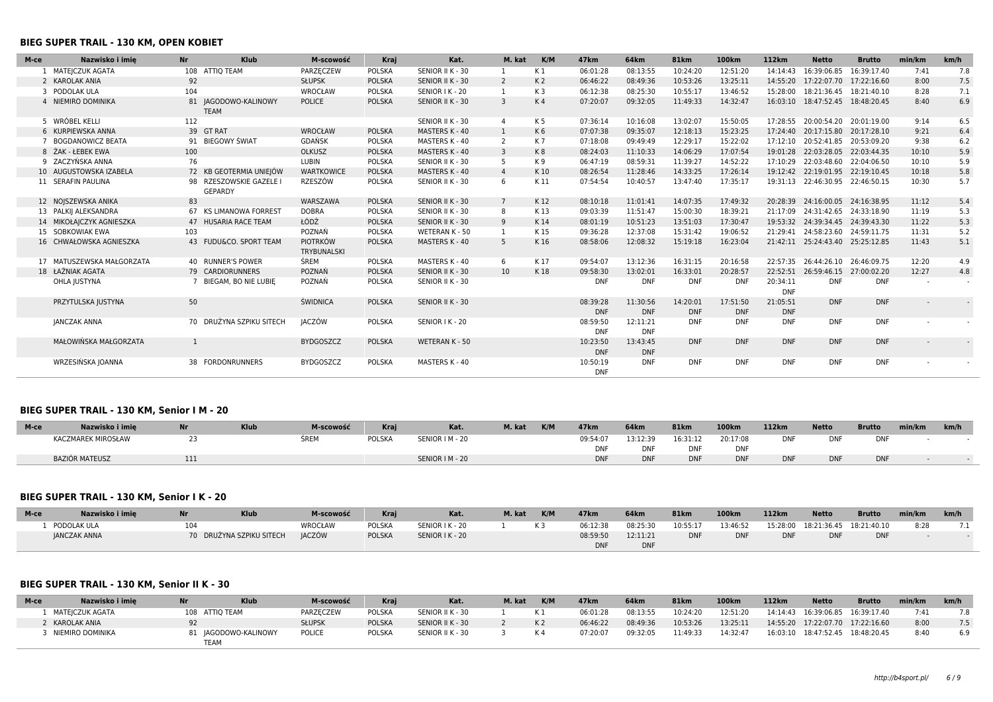### **BIEG SUPER TRAIL - 130 KM, OPEN KOBIET**

| M-ce | Nazwisko i imie           | <b>Nr</b>    | <b>Klub</b>                               | M-scowość                             | Kraj          | Kat.             | M. kat         | K/M            | 47 <sub>km</sub>       | 64 <sub>km</sub>       | <b>81km</b>            | 100km                  | 112km                  | <b>Netto</b>                     | <b>Brutto</b>            | min/km         | km/h   |
|------|---------------------------|--------------|-------------------------------------------|---------------------------------------|---------------|------------------|----------------|----------------|------------------------|------------------------|------------------------|------------------------|------------------------|----------------------------------|--------------------------|----------------|--------|
|      | MATEJCZUK AGATA           |              | 108 ATTIQ TEAM                            | PARZECZEW                             | POLSKA        | SENIOR II K - 30 |                | K 1            | 06:01:28               | 08:13:55               | 10:24:20               | 12:51:20               | 14:14:43               | 16:39:06.85                      | 16:39:17.40              | 7:41           | 7.8    |
|      | 2 KAROLAK ANIA            | 92           |                                           | <b>SŁUPSK</b>                         | <b>POLSKA</b> | SENIOR II K - 30 | $\overline{2}$ | K <sub>2</sub> | 06:46:22               | 08:49:36               | 10:53:26               | 13:25:11               | 14:55:20               | 17:22:07.70 17:22:16.60          |                          | 8:00           | 7.5    |
|      | 3 PODOLAK ULA             | 104          |                                           | WROCŁAW                               | POLSKA        | SENIOR I K - 20  | 1              | K <sub>3</sub> | 06:12:38               | 08:25:30               | 10:55:17               | 13:46:52               | 15:28:00               |                                  | 18:21:36.45  18:21:40.10 | 8:28           | 7.1    |
|      | 4 NIEMIRO DOMINIKA        |              | 81 JAGODOWO-KALINOWY<br><b>TEAM</b>       | <b>POLICE</b>                         | <b>POLSKA</b> | SENIOR II K - 30 | $\overline{3}$ | K4             | 07:20:07               | 09:32:05               | 11:49:33               | 14:32:47               | 16:03:10               | 18:47:52.45  18:48:20.45         |                          | 8:40           | 6.9    |
|      | 5 WRÓBEL KELLI            | 112          |                                           |                                       |               | SENIOR II K - 30 | 4              | K 5            | 07:36:14               | 10:16:08               | 13:02:07               | 15:50:05               |                        | 17:28:55 20:00:54.20 20:01:19.00 |                          | 9:14           | 6.5    |
|      | 6 KURPIEWSKA ANNA         |              | 39 GT RAT                                 | WROCŁAW                               | <b>POLSKA</b> | MASTERS K - 40   |                | K6             | 07:07:38               | 09:35:07               | 12:18:13               | 15:23:25               |                        | 17:24:40 20:17:15.80 20:17:28.10 |                          | 9:21           | 6.4    |
|      | <b>BOGDANOWICZ BEATA</b>  |              | 91 BIEGOWY ŚWIAT                          | <b>GDAŃSK</b>                         | POLSKA        | MASTERS K - 40   | 2              | K7             | 07:18:08               | 09:49:49               | 12:29:17               | 15:22:02               | 17:12:10               | 20:52:41.85 20:53:09.20          |                          | 9:38           | 6.2    |
|      | 8 ŻAK - ŁEBEK EWA         | 100          |                                           | OLKUSZ                                | <b>POLSKA</b> | MASTERS K - 40   | 3              | K <sub>8</sub> | 08:24:03               | 11:10:33               | 14:06:29               | 17:07:54               | 19:01:28               | 22:03:28.05 22:03:44.35          |                          | 10:10          | 5.9    |
|      | 9 ZACZYŃSKA ANNA          | 76           |                                           | LUBIN                                 | <b>POLSKA</b> | SENIOR II K - 30 |                | K 9            | 06:47:19               | 08:59:31               | 11:39:27               | 14:52:22               |                        | 17:10:29 22:03:48.60 22:04:06.50 |                          | 10:10          | 5.9    |
|      | 10 AUGUSTOWSKA IZABELA    |              | 72 KB GEOTERMIA UNIEJÓW                   | <b>WARTKOWICE</b>                     | <b>POLSKA</b> | MASTERS K - 40   | $\overline{4}$ | K10            | 08:26:54               | 11:28:46               | 14:33:25               | 17:26:14               |                        | 19:12:42 22:19:01.95 22:19:10.45 |                          | 10:18          | 5.8    |
|      | 11 SERAFIN PAULINA        |              | 98 RZESZOWSKIE GAZELE I<br><b>GEPARDY</b> | RZESZÓW                               | POLSKA        | SENIOR II K - 30 | -6             | K 11           | 07:54:54               | 10:40:57               | 13:47:40               | 17:35:17               |                        | 19:31:13 22:46:30.95 22:46:50.15 |                          | 10:30          | 5.7    |
|      | 12 NOISZEWSKA ANIKA       | 83           |                                           | WARSZAWA                              | <b>POLSKA</b> | SENIOR II K - 30 |                | K12            | 08:10:18               | 11:01:41               | 14:07:35               | 17:49:32               | 20:28:39               | 24:16:00.05 24:16:38.95          |                          | 11:12          | 5.4    |
|      | 13 PALKIJ ALEKSANDRA      |              | 67 KS LIMANOWA FORREST                    | <b>DOBRA</b>                          | <b>POLSKA</b> | SENIOR II K - 30 |                | K13            | 09:03:39               | 11:51:47               | 15:00:30               | 18:39:21               |                        | 21:17:09 24:31:42.65 24:33:18.90 |                          | 11:19          | 5.3    |
|      | 14 MIKOŁAJCZYK AGNIESZKA  |              | 47 HUSARIA RACE TEAM                      | ŁÓDŹ                                  | <b>POLSKA</b> | SENIOR II K - 30 | 9              | K14            | 08:01:19               | 10:51:23               | 13:51:03               | 17:30:47               |                        | 19:53:32 24:39:34.45 24:39:43.30 |                          | 11:22          | 5.3    |
|      | 15 SOBKOWIAK EWA          | 103          |                                           | POZNAŃ                                | POLSKA        | WETERAN K - 50   |                | K 15           | 09:36:28               | 12:37:08               | 15:31:42               | 19:06:52               |                        | 21:29:41 24:58:23.60 24:59:11.75 |                          | 11:31          | 5.2    |
|      | 16 CHWAŁOWSKA AGNIESZKA   |              | 43 FUDU&CO, SPORT TEAM                    | <b>PIOTRKÓW</b><br><b>TRYBUNALSKI</b> | <b>POLSKA</b> | MASTERS K - 40   | 5              | K16            | 08:58:06               | 12:08:32               | 15:19:18               | 16:23:04               |                        | 21:42:11 25:24:43.40 25:25:12.85 |                          | 11:43          | 5.1    |
|      | 17 MATUSZEWSKA MAŁGORZATA |              | 40 RUNNER'S POWER                         | ŚREM                                  | POLSKA        | MASTERS K - 40   | 6              | K 17           | 09:54:07               | 13:12:36               | 16:31:15               | 20:16:58               |                        | 22:57:35 26:44:26.10 26:46:09.75 |                          | 12:20          | 4.9    |
|      | 18 ŁAŹNIAK AGATA          |              | 79 CARDIORUNNERS                          | POZNAŃ                                | <b>POLSKA</b> | SENIOR II K - 30 | 10             | K18            | 09:58:30               | 13:02:01               | 16:33:01               | 20:28:57               |                        | 22:52:51 26:59:46.15 27:00:02.20 |                          | 12:27          | 4.8    |
|      | OHLA JUSTYNA              |              | BIEGAM, BO NIE LUBIE                      | POZNAŃ                                | POLSKA        | SENIOR II K - 30 |                |                | <b>DNF</b>             | <b>DNF</b>             | <b>DNF</b>             | <b>DNF</b>             | 20:34:11<br><b>DNF</b> | <b>DNF</b>                       | <b>DNF</b>               |                | $\sim$ |
|      | PRZYTULSKA JUSTYNA        | 50           |                                           | ŚWIDNICA                              | <b>POLSKA</b> | SENIOR II K - 30 |                |                | 08:39:28<br><b>DNF</b> | 11:30:56<br><b>DNF</b> | 14:20:01<br><b>DNF</b> | 17:51:50<br><b>DNF</b> | 21:05:51<br><b>DNF</b> | <b>DNF</b>                       | <b>DNF</b>               | $\overline{a}$ |        |
|      | <b>JANCZAK ANNA</b>       |              | 70 DRUŻYNA SZPIKU SITECH                  | <b>JACZÓW</b>                         | <b>POLSKA</b> | SENIOR I K - 20  |                |                | 08:59:50<br><b>DNF</b> | 12:11:21<br><b>DNF</b> | <b>DNF</b>             | <b>DNF</b>             | <b>DNF</b>             | <b>DNF</b>                       | <b>DNF</b>               |                | $\sim$ |
|      | MAŁOWIŃSKA MAŁGORZATA     | $\mathbf{1}$ |                                           | <b>BYDGOSZCZ</b>                      | <b>POLSKA</b> | WETERAN K - 50   |                |                | 10:23:50<br><b>DNF</b> | 13:43:45<br><b>DNF</b> | <b>DNF</b>             | <b>DNF</b>             | <b>DNF</b>             | <b>DNF</b>                       | <b>DNF</b>               |                |        |
|      | WRZESIŃSKA JOANNA         |              | 38 FORDONRUNNERS                          | <b>BYDGOSZCZ</b>                      | POLSKA        | MASTERS K - 40   |                |                | 10:50:19<br><b>DNF</b> | <b>DNF</b>             | <b>DNF</b>             | <b>DNF</b>             | <b>DNF</b>             | <b>DNF</b>                       | <b>DNF</b>               |                |        |

# **BIEG SUPER TRAIL - 130 KM, Senior I M - 20**

| M-ce | Nazwisko i imie           | <b>Klub</b> | M-scowość | Krai   | Kat.            | M. kat | K/M | 47 <sub>km</sub> | 64km       | <b>81km</b> | <b>100km</b> | 112km      | <b>Netto</b> | <b>Brutto</b> | min/km | km/h |
|------|---------------------------|-------------|-----------|--------|-----------------|--------|-----|------------------|------------|-------------|--------------|------------|--------------|---------------|--------|------|
|      | <b>KACZMAREK MIROSŁAW</b> |             | ŚREM      | POLSKA | SENIOR   M - 20 |        |     | 09:54:07         | 13:12:39   | 16:31:12    | 20:17:08     | DNI        |              | <b>DNF</b>    |        |      |
|      |                           |             |           |        |                 |        |     | DNF              | DNF        | <b>DNF</b>  | <b>DNF</b>   |            |              |               |        |      |
|      | <b>BAZIÓR MATEUSZ</b>     |             |           |        | SENIOR   M - 20 |        |     | <b>DNF</b>       | <b>DNF</b> | <b>DNF</b>  | <b>DNF</b>   | <b>DNF</b> |              | <b>DNF</b>    |        |      |

# **BIEG SUPER TRAIL - 130 KM, Senior I K - 20**

| M-ce | Nazwisko i imie | <b>Nr</b> | <b>Klub</b>              | M-scowość      | Krai          | Kat.            | M. kat | K/M | 47 <sub>km</sub> | 64km       | <b>81km</b> | 100km      | 112km      | <b>Netto</b>                     | <b>Brutto</b> | min/km | km/h |
|------|-----------------|-----------|--------------------------|----------------|---------------|-----------------|--------|-----|------------------|------------|-------------|------------|------------|----------------------------------|---------------|--------|------|
|      | PODOLAK ULA     | 104       |                          | <b>WROCŁAW</b> | <b>POLSKA</b> | SENIOR I K - 20 |        | K 3 | 06:12:38         | 08:25:30   | 10:55:17    | 13:46:52   |            | 15:28:00 18:21:36.45 18:21:40.10 |               | 8:28   |      |
|      | JANCZAK ANNA    |           | 70 DRUŻYNA SZPIKU SITECH | <b>JACZÓW</b>  | <b>POLSKA</b> | SENIOR I K - 20 |        |     | 08:59:50         | 12:11:21   | <b>DNF</b>  | <b>DNF</b> | <b>DNF</b> | <b>DNF</b>                       | <b>DNF</b>    |        |      |
|      |                 |           |                          |                |               |                 |        |     |                  | <b>DNF</b> |             |            |            |                                  |               |        |      |

# **BIEG SUPER TRAIL - 130 KM, Senior II K - 30**

| M-ce | Nazwisko i imie  | <b>Nr</b>      | <b>Klub</b>         | M-scowość     | Krai          | Kat.             | M. kat | K/M   | 47 <sub>km</sub> | 64 <sub>km</sub> | <b>81km</b> | 100km    | 112km | <b>Netto</b> | <b>Brutto</b>                      | min/km | km/h |
|------|------------------|----------------|---------------------|---------------|---------------|------------------|--------|-------|------------------|------------------|-------------|----------|-------|--------------|------------------------------------|--------|------|
|      | MATEICZUK AGATA  | 108 ATTIO TEAM |                     | PARZECZEW     | POLSKA        | SENIOR II K - 30 |        | – K 1 | 06:01:28         | 08:13:55         | 10:24:20    | 12:51:20 |       |              | 14:14:43  16:39:06.85  16:39:17.40 | 7:41   | 7.8  |
|      | KAROLAK ANIA     |                |                     | <b>SŁUPSK</b> | <b>POLSKA</b> | SENIOR II K - 30 |        | K 2   | 06:46:22         | 08:49:36         | 10:53:26    | 13:25:11 |       |              | 14:55:20 17:22:07.70 17:22:16.60   | 8:00   | 7.5  |
|      | NIEMIRO DOMINIKA | TEAM           | L JAGODOWO-KALINOWY | <b>POLICE</b> | POLSKA        | SENIOR II K - 30 |        | – K 4 | 07:20:07         | 09:32:05         | 11:49:33    | 14:32:47 |       |              | 16:03:10 18:47:52.45 18:48:20.45   | 8:40   | 6.9  |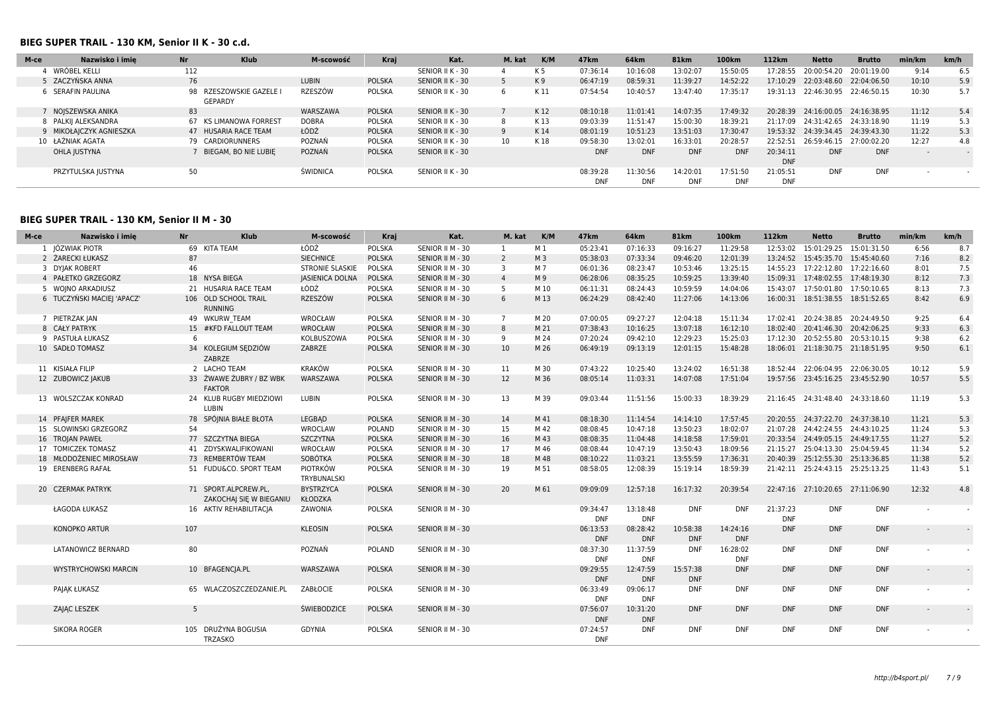#### **BIEG SUPER TRAIL - 130 KM, Senior II K - 30 c.d.**

| M-ce | Nazwisko i imie       | <b>Nr</b> | <b>Klub</b>                     | M-scowość       | Kraj          | Kat.             | M. kat | K/M  | 47 <sub>km</sub>       | 64km                   | <b>81km</b>            | 100km                  | 112 <sub>km</sub>      | <b>Netto</b>            | <b>Brutto</b> | min/km                   | km/h |
|------|-----------------------|-----------|---------------------------------|-----------------|---------------|------------------|--------|------|------------------------|------------------------|------------------------|------------------------|------------------------|-------------------------|---------------|--------------------------|------|
|      | WRÓBEL KELLI          | 112       |                                 |                 |               | SENIOR II K - 30 |        | K 5  | 07:36:14               | 10:16:08               | 13:02:07               | 15:50:05               | 17:28:55               | 20:00:54.20             | 20:01:19.00   | 9:14                     | 6.5  |
|      | 5 ZACZYŃSKA ANNA      | 76        |                                 | <b>LUBIN</b>    | <b>POLSKA</b> | SENIOR II K - 30 |        | K9   | 06:47:19               | 08:59:31               | 11:39:27               | 14:52:22               | 17:10:29               | 22:03:48.60 22:04:06.50 |               | 10:10                    | 5.9  |
|      | 6 SERAFIN PAULINA     | 98        | RZESZOWSKIE GAZELE I<br>GEPARDY | RZESZÓW         | <b>POLSKA</b> | SENIOR II K - 30 |        | K 11 | 07:54:54               | 10:40:57               | 13:47:40               | 17:35:17               | 19:31:13               | 22:46:30.95             | 22:46:50.15   | 10:30                    | 5.7  |
|      | NOJSZEWSKA ANIKA      | 83        |                                 | WARSZAWA        | <b>POLSKA</b> | SENIOR II K - 30 |        | K12  | 08:10:18               | 11:01:41               | 14:07:35               | 17:49:32               | 20:28:39               | 24:16:00.05             | 24:16:38.95   | 11:12                    | 5.4  |
|      | 8 PALKII ALEKSANDRA   | 67        | KS LIMANOWA FORREST             | <b>DOBRA</b>    | <b>POLSKA</b> | SENIOR II K - 30 | 8      | K 13 | 09:03:39               | 11:51:47               | 15:00:30               | 18:39:21               | 21:17:09               | 24:31:42.65             | 24:33:18.90   | 11:19                    | 5.3  |
|      | MIKOŁAJCZYK AGNIESZKA |           | 47 HUSARIA RACE TEAM            | ŁÓDŹ            | <b>POLSKA</b> | SENIOR II K - 30 |        | K14  | 08:01:19               | 10:51:23               | 13:51:03               | 17:30:47               | 19:53:32               | 24:39:34.45 24:39:43.30 |               | 11:22                    | 5.3  |
|      | 10 ŁAŻNIAK AGATA      |           | 79 CARDIORUNNERS                | POZNAŃ          | <b>POLSKA</b> | SENIOR II K - 30 | 10     | K 18 | 09:58:30               | 13:02:01               | 16:33:01               | 20:28:57               | 22:52:51               | 26:59:46.15 27:00:02.20 |               | 12:27                    | 4.8  |
|      | OHLA JUSTYNA          |           | BIEGAM, BO NIE LUBIE            | POZNAŃ          | POLSKA        | SENIOR II K - 30 |        |      | <b>DNF</b>             | <b>DNF</b>             | <b>DNF</b>             | <b>DNF</b>             | 20:34:11<br><b>DNF</b> | <b>DNF</b>              | <b>DNF</b>    | $\overline{\phantom{0}}$ |      |
|      | PRZYTULSKA JUSTYNA    | 50        |                                 | <b>ŚWIDNICA</b> | POLSKA        | SENIOR II K - 30 |        |      | 08:39:28<br><b>DNF</b> | 11:30:56<br><b>DNF</b> | 14:20:01<br><b>DNF</b> | 17:51:50<br><b>DNF</b> | 21:05:51<br><b>DNF</b> | <b>DNF</b>              | <b>DNF</b>    |                          |      |

# **BIEG SUPER TRAIL - 130 KM, Senior II M - 30**

| M-ce | Nazwisko i imie             | <b>Nr</b> | Klub                                            | M-scowość                   | Kraj          | Kat.             | M. kat         | K/M            | 47 <sub>km</sub>       | <b>64km</b>            | <b>81km</b>            | 100km                  | 112km      | <b>Netto</b>                     | <b>Brutto</b> | min/km | km/h                        |
|------|-----------------------------|-----------|-------------------------------------------------|-----------------------------|---------------|------------------|----------------|----------------|------------------------|------------------------|------------------------|------------------------|------------|----------------------------------|---------------|--------|-----------------------------|
|      | 1 JÓZWIAK PIOTR             |           | 69 KITA TEAM                                    | ŁÓDŹ                        | <b>POLSKA</b> | SENIOR II M - 30 | <sup>1</sup>   | M <sub>1</sub> | 05:23:41               | 07:16:33               | 09:16:27               | 11:29:58               |            | 12:53:02 15:01:29.25 15:01:31.50 |               | 6:56   | 8.7                         |
|      | 2 ŻARECKI ŁUKASZ            | 87        |                                                 | <b>SIECHNICE</b>            | <b>POLSKA</b> | SENIOR II M - 30 | $\overline{2}$ | M <sub>3</sub> | 05:38:03               | 07:33:34               | 09:46:20               | 12:01:39               |            | 13:24:52 15:45:35.70 15:45:40.60 |               | 7:16   | 8.2                         |
|      | 3 DYJAK ROBERT              | 46        |                                                 | <b>STRONIE SLASKIE</b>      | POLSKA        | SENIOR II M - 30 | $\overline{3}$ | M 7            | 06:01:36               | 08:23:47               | 10:53:46               | 13:25:15               |            | 14:55:23 17:22:12.80 17:22:16.60 |               | 8:01   | 7.5                         |
|      | 4 PAŁETKO GRZEGORZ          |           | 18 NYSA BIEGA                                   | <b>IASIENICA DOLNA</b>      | <b>POLSKA</b> | SENIOR II M - 30 | $\overline{4}$ | M 9            | 06:28:06               | 08:35:25               | 10:59:25               | 13:39:40               |            | 15:09:31 17:48:02.55 17:48:19.30 |               | 8:12   | 7.3                         |
|      | 5 WOINO ARKADIUSZ           |           | 21 HUSARIA RACE TEAM                            | ŁÓDŹ                        | <b>POLSKA</b> | SENIOR II M - 30 | -5             | M 10           | 06:11:31               | 08:24:43               | 10:59:59               | 14:04:06               |            | 15:43:07 17:50:01.80 17:50:10.65 |               | 8:13   | 7.3                         |
|      | 6 TUCZYŃSKI MACIEJ 'APACZ'  |           | 106 OLD SCHOOL TRAIL<br><b>RUNNING</b>          | RZESZÓW                     | <b>POLSKA</b> | SENIOR II M - 30 | 6              | M 13           | 06:24:29               | 08:42:40               | 11:27:06               | 14:13:06               |            | 16:00:31 18:51:38.55 18:51:52.65 |               | 8:42   | 6.9                         |
|      | 7 PIETRZAK JAN              |           | 49 WKURW TEAM                                   | WROCŁAW                     | <b>POLSKA</b> | SENIOR II M - 30 | 7              | M 20           | 07:00:05               | 09:27:27               | 12:04:18               | 15:11:34               |            | 17:02:41 20:24:38.85 20:24:49.50 |               | 9:25   | 6.4                         |
|      | 8 CAŁY PATRYK               |           | 15 #KFD FALLOUT TEAM                            | WROCŁAW                     | <b>POLSKA</b> | SENIOR II M - 30 | 8              | M 21           | 07:38:43               | 10:16:25               | 13:07:18               | 16:12:10               |            | 18:02:40 20:41:46.30 20:42:06.25 |               | 9:33   | 6.3                         |
|      | 9 PASTUŁA ŁUKASZ            | 6         |                                                 | KOLBUSZOWA                  | POLSKA        | SENIOR II M - 30 | -9             | M 24           | 07:20:24               | 09:42:10               | 12:29:23               | 15:25:03               |            | 17:12:30 20:52:55.80 20:53:10.15 |               | 9:38   | 6.2                         |
|      | 10 SADŁO TOMASZ             |           | 34 KOLEGIUM SEDZIÓW<br>ZABRZE                   | ZABRZE                      | <b>POLSKA</b> | SENIOR II M - 30 | 10             | M 26           | 06:49:19               | 09:13:19               | 12:01:15               | 15:48:28               |            | 18:06:01 21:18:30.75 21:18:51.95 |               | 9:50   | 6.1                         |
|      | 11 KISIAŁA FILIP            |           | 2 LACHO TEAM                                    | <b>KRAKÓW</b>               | <b>POLSKA</b> | SENIOR II M - 30 | 11             | M 30           | 07:43:22               | 10:25:40               | 13:24:02               | 16:51:38               |            | 18:52:44 22:06:04.95 22:06:30.05 |               | 10:12  | 5.9                         |
|      | 12 ZUBOWICZ JAKUB           |           | 33 ŻWAWE ŻUBRY / BZ WBK<br><b>FAKTOR</b>        | WARSZAWA                    | <b>POLSKA</b> | SENIOR II M - 30 | 12             | M 36           | 08:05:14               | 11:03:31               | 14:07:08               | 17:51:04               |            | 19:57:56 23:45:16.25 23:45:52.90 |               | 10:57  | 5.5                         |
|      | 13 WOLSZCZAK KONRAD         |           | 24 KLUB RUGBY MIEDZIOWI<br><b>LUBIN</b>         | LUBIN                       | POLSKA        | SENIOR II M - 30 | 13             | M 39           | 09:03:44               | 11:51:56               | 15:00:33               | 18:39:29               |            | 21:16:45 24:31:48.40 24:33:18.60 |               | 11:19  | 5.3                         |
|      | 14 PFAIFER MAREK            |           | 78 SPÓINIA BIAŁE BŁOTA                          | LEGBAD                      | <b>POLSKA</b> | SENIOR II M - 30 | 14             | M 41           | 08:18:30               | 11:14:54               | 14:14:10               | 17:57:45               |            | 20:20:55 24:37:22.70 24:37:38.10 |               | 11:21  | 5.3                         |
|      | 15 SLOWINSKI GRZEGORZ       | 54        |                                                 | <b>WROCLAW</b>              | <b>POLAND</b> | SENIOR II M - 30 | 15             | M 42           | 08:08:45               | 10:47:18               | 13:50:23               | 18:02:07               |            | 21:07:28 24:42:24.55 24:43:10.25 |               | 11:24  | 5.3                         |
|      | 16 TROJAN PAWEŁ             |           | 77 SZCZYTNA BIEGA                               | SZCZYTNA                    | <b>POLSKA</b> | SENIOR II M - 30 | 16             | M 43           | 08:08:35               | 11:04:48               | 14:18:58               | 17:59:01               |            | 20:33:54 24:49:05.15 24:49:17.55 |               | 11:27  | 5.2                         |
|      | 17 TOMICZEK TOMASZ          |           | 41 ZDYSKWALIFIKOWANI                            | WROCŁAW                     | POLSKA        | SENIOR II M - 30 | 17             | M 46           | 08:08:44               | 10:47:19               | 13:50:43               | 18:09:56               |            | 21:15:27 25:04:13.30 25:04:59.45 |               | 11:34  | 5.2                         |
|      | 18 MŁODOŻENIEC MIROSŁAW     |           | 73 REMBERTÓW TEAM                               | SOBÓTKA                     | <b>POLSKA</b> | SENIOR II M - 30 | 18             | M 48           | 08:10:22               | 11:03:21               | 13:55:59               | 17:36:31               |            | 20:40:39 25:12:55.30 25:13:36.85 |               | 11:38  | 5.2                         |
|      | 19 ERENBERG RAFAŁ           |           | 51 FUDU&CO. SPORT TEAM                          | PIOTRKÓW<br>TRYBUNALSKI     | <b>POLSKA</b> | SENIOR II M - 30 | 19             | M 51           | 08:58:05               | 12:08:39               | 15:19:14               | 18:59:39               |            | 21:42:11 25:24:43.15 25:25:13.25 |               | 11:43  | 5.1                         |
|      | 20 CZERMAK PATRYK           |           | 71 SPORT.ALPCREW.PL,<br>ZAKOCHAJ SIE W BIEGANIU | <b>BYSTRZYCA</b><br>KŁODZKA | <b>POLSKA</b> | SENIOR II M - 30 | 20             | M 61           | 09:09:09               | 12:57:18               | 16:17:32               | 20:39:54               |            | 22:47:16 27:10:20.65 27:11:06.90 |               | 12:32  | 4.8                         |
|      | ŁAGODA ŁUKASZ               |           | 16 AKTIV REHABILITACJA                          | ZAWONIA                     | <b>POLSKA</b> | SENIOR II M - 30 |                |                | 09:34:47               | 13:18:48               | <b>DNF</b>             | <b>DNF</b>             | 21:37:23   | <b>DNF</b>                       | <b>DNF</b>    |        |                             |
|      |                             |           |                                                 |                             |               |                  |                |                | <b>DNF</b>             | <b>DNF</b>             |                        |                        | <b>DNF</b> |                                  |               |        |                             |
|      | <b>KONOPKO ARTUR</b>        | 107       |                                                 | <b>KLEOSIN</b>              | <b>POLSKA</b> | SENIOR II M - 30 |                |                | 06:13:53<br><b>DNF</b> | 08:28:42<br><b>DNF</b> | 10:58:38<br><b>DNF</b> | 14:24:16<br><b>DNF</b> | <b>DNF</b> | <b>DNF</b>                       | <b>DNF</b>    |        |                             |
|      | <b>LATANOWICZ BERNARD</b>   | 80        |                                                 | POZNAŃ                      | <b>POLAND</b> | SENIOR II M - 30 |                |                | 08:37:30<br><b>DNF</b> | 11:37:59<br><b>DNF</b> | <b>DNF</b>             | 16:28:02<br><b>DNF</b> | <b>DNF</b> | <b>DNF</b>                       | <b>DNF</b>    |        |                             |
|      | <b>WYSTRYCHOWSKI MARCIN</b> |           | 10 BFAGENCIA.PL                                 | WARSZAWA                    | <b>POLSKA</b> | SENIOR II M - 30 |                |                | 09:29:55<br><b>DNF</b> | 12:47:59<br><b>DNF</b> | 15:57:38<br><b>DNF</b> | <b>DNF</b>             | <b>DNF</b> | <b>DNF</b>                       | <b>DNF</b>    |        | $\mathcal{L}^{\mathcal{A}}$ |
|      | <b>PAJAK ŁUKASZ</b>         |           | 65 WLACZOSZCZEDZANIE.PL                         | ZABŁOCIE                    | <b>POLSKA</b> | SENIOR II M - 30 |                |                | 06:33:49<br><b>DNF</b> | 09:06:17<br><b>DNF</b> | <b>DNF</b>             | <b>DNF</b>             | <b>DNF</b> | <b>DNF</b>                       | <b>DNF</b>    |        |                             |
|      | ZAJĄC LESZEK                | -5        |                                                 | <b>ŚWIEBODZICE</b>          | <b>POLSKA</b> | SENIOR II M - 30 |                |                | 07:56:07<br><b>DNF</b> | 10:31:20<br><b>DNF</b> | <b>DNF</b>             | <b>DNF</b>             | <b>DNF</b> | <b>DNF</b>                       | <b>DNF</b>    | $\sim$ |                             |
|      | <b>SIKORA ROGER</b>         |           | 105 DRUŻYNA BOGUSIA<br>TRZASKO                  | <b>GDYNIA</b>               | <b>POLSKA</b> | SENIOR II M - 30 |                |                | 07:24:57<br><b>DNF</b> | <b>DNF</b>             | <b>DNF</b>             | <b>DNF</b>             | <b>DNF</b> | <b>DNF</b>                       | <b>DNF</b>    |        |                             |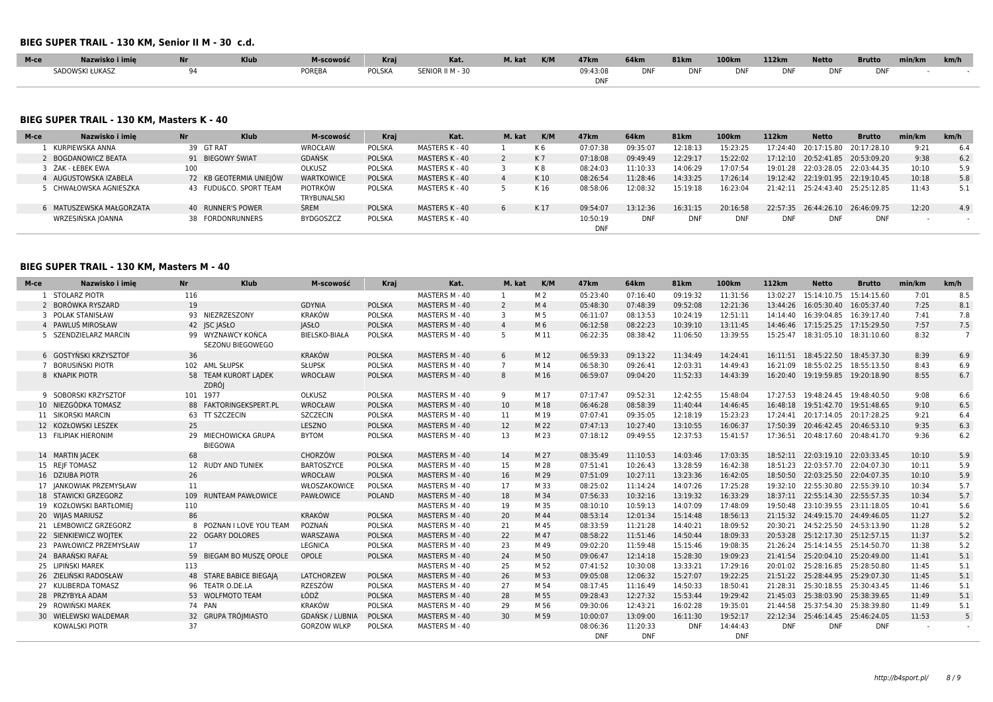#### **BIEG SUPER TRAIL - 130 KM, Senior II M - 30 c.d.**

| M-ce | Nazwisko i imie | <b>The Latin</b> | <b>Klub</b> | M-scowość     | Krai          | Kat.             | M. kat | K/M | 47 <sub>km</sub> | 64km        | <b>81km</b> | <b>100km</b> | 112km      | <b>Netto</b> | <b>Brutto</b> | min/km | km/h |
|------|-----------------|------------------|-------------|---------------|---------------|------------------|--------|-----|------------------|-------------|-------------|--------------|------------|--------------|---------------|--------|------|
|      | SADOWSKI ŁUKASZ |                  |             | <b>POREBA</b> | <b>POLSKA</b> | SENIOR II M - 30 |        |     | 09:43:08         | <b>DAIR</b> | <b>DNF</b>  | DNF          | <b>DNF</b> | <b>DNF</b>   | <b>DNF</b>    |        |      |
|      |                 |                  |             |               |               |                  |        |     | <b>DNF</b>       |             |             |              |            |              |               |        |      |

#### **BIEG SUPER TRAIL - 130 KM, Masters K - 40**

| M-ce | Nazwisko i imie          | <b>Nr</b> | <b>Klub</b>             | M-scowość               | Krai          | Kat.           | M. kat | K/M            | 47 <sub>km</sub>       | 64 <sub>km</sub> | <b>81km</b> | 100km      | 112km      | <b>Netto</b>                     | <b>Brutto</b>                    | min/km | km/h |
|------|--------------------------|-----------|-------------------------|-------------------------|---------------|----------------|--------|----------------|------------------------|------------------|-------------|------------|------------|----------------------------------|----------------------------------|--------|------|
|      | KURPIEWSKA ANNA          |           | 39 GT RAT               | WROCŁAW                 | <b>POLSKA</b> | MASTERS K - 40 |        |                | 07:07:38               | 09:35:07         | 12:18:13    | 15:23:25   | 17:24:40   | 20:17:15.80 20:17:28.10          |                                  | 9:21   | 6.4  |
|      | BOGDANOWICZ BEATA        |           | 91 BIEGOWY ŚWIAT        | <b>GDANSK</b>           | POLSKA        | MASTERS K - 40 |        | K <sub>7</sub> | 07:18:08               | 09:49:49         | 12:29:17    | 15:22:02   |            | 17:12:10 20:52:41.85 20:53:09.20 |                                  | 9:38   | 6.2  |
|      | ŻAK - ŁEBEK EWA          | 100       |                         | <b>OLKUSZ</b>           | <b>POLSKA</b> | MASTERS K - 40 |        | K8             | 08:24:03               | 11:10:33         | 14:06:29    | 17:07:54   |            |                                  | 19:01:28 22:03:28.05 22:03:44.35 | 10:10  | 5.9  |
|      | 4 AUGUSTOWSKA IZABELA    |           | 72 KB GEOTERMIA UNIEJÓW | WARTKOWICE              | POLSKA        | MASTERS K - 40 |        | K 10           | 08:26:54               | 11:28:46         | 14:33:25    | 17:26:14   |            |                                  | 19:12:42 22:19:01.95 22:19:10.45 | 10:18  | 5.8  |
|      | 5 CHWAŁOWSKA AGNIESZKA   |           | 43 FUDU&CO, SPORT TEAM  | PIOTRKÓW<br>TRYBUNALSKI | <b>POLSKA</b> | MASTERS K - 40 |        | K16            | 08:58:06               | 12:08:32         | 15:19:18    | 16:23:04   | 21:42:11   | 25:24:43.40 25:25:12.85          |                                  | 11:43  | 5.1  |
|      | 6 MATUSZEWSKA MAŁGORZATA |           | 40 RUNNER'S POWER       | <b>SREM</b>             | <b>POLSKA</b> | MASTERS K - 40 |        | K17            | 09:54:07               | 13:12:36         | 16:31:15    | 20:16:58   | 22:57:35   | 26:44:26.10 26:46:09.75          |                                  | 12:20  | 4.9  |
|      | WRZESIŃSKA IOANNA        |           | 38 FORDONRUNNERS        | <b>BYDGOSZCZ</b>        | <b>POLSKA</b> | MASTERS K - 40 |        |                | 10:50:19<br><b>DNF</b> | <b>DNF</b>       | <b>DNF</b>  | <b>DNF</b> | <b>DNF</b> | <b>DNF</b>                       | <b>DNF</b>                       |        |      |

### **BIEG SUPER TRAIL - 130 KM, Masters M - 40**

| M-ce | Nazwisko i imie         | <b>Nr</b> | <b>Klub</b>                            | M-scowość              | Kraj          | Kat.           | M. kat         | K/M            | 47 <sub>km</sub>       | <b>64km</b>            | <b>81km</b> | 100 <sub>km</sub>      | 112km      | <b>Netto</b>                       | <b>Brutto</b> | min/km | km/h           |
|------|-------------------------|-----------|----------------------------------------|------------------------|---------------|----------------|----------------|----------------|------------------------|------------------------|-------------|------------------------|------------|------------------------------------|---------------|--------|----------------|
|      | 1 STOLARZ PIOTR         | 116       |                                        |                        |               | MASTERS M - 40 |                | M <sub>2</sub> | 05:23:40               | 07:16:40               | 09:19:32    | 11:31:56               | 13:02:27   | 15:14:10.75  15:14:15.60           |               | 7:01   | 8.5            |
|      | 2 BORÓWKA RYSZARD       | 19        |                                        | <b>GDYNIA</b>          | <b>POLSKA</b> | MASTERS M - 40 | 2              | M <sub>4</sub> | 05:48:30               | 07:48:39               | 09:52:08    | 12:21:36               | 13:44:26   | 16:05:30.40 16:05:37.40            |               | 7:25   | 8.1            |
|      | 3 POLAK STANISŁAW       |           | 93 NIEZRZESZONY                        | <b>KRAKÓW</b>          | <b>POLSKA</b> | MASTERS M - 40 | 3              | M 5            | 06:11:07               | 08:13:53               | 10:24:19    | 12:51:11               | 14:14:40   | 16:39:04.85  16:39:17.40           |               | 7:41   | 7.8            |
|      | 4 PAWLUŚ MIROSŁAW       |           | 42 JSC JASŁO                           | <b>JASŁO</b>           | <b>POLSKA</b> | MASTERS M - 40 | $\overline{4}$ | M 6            | 06:12:58               | 08:22:23               | 10:39:10    | 13:11:45               |            | 14:46:46 17:15:25.25               | 17:15:29.50   | 7:57   | 7.5            |
|      | 5 SZENDZIELARZ MARCIN   |           | 99 WYZNAWCY KOŃCA<br>SEZONU BIEGOWEGO  | <b>BIELSKO-BIAŁA</b>   | POLSKA        | MASTERS M - 40 | 5              | M 11           | 06:22:35               | 08:38:42               | 11:06:50    | 13:39:55               | 15:25:47   | 18:31:05.10  18:31:10.60           |               | 8:32   | $\overline{7}$ |
|      | 6 GOSTYŃSKI KRZYSZTOF   | 36        |                                        | <b>KRAKÓW</b>          | <b>POLSKA</b> | MASTERS M - 40 | 6              | M 12           | 06:59:33               | 09:13:22               | 11:34:49    | 14:24:41               |            | 16:11:51  18:45:22.50  18:45:37.30 |               | 8:39   | 6.9            |
|      | 7 BORUSIŃSKI PIOTR      |           | 102 AML SŁUPSK                         | <b>SŁUPSK</b>          | <b>POLSKA</b> | MASTERS M - 40 | $\overline{7}$ | M 14           | 06:58:30               | 09:26:41               | 12:03:31    | 14:49:43               | 16:21:09   | 18:55:02.25  18:55:13.50           |               | 8:43   | 6.9            |
|      | 8 KNAPIK PIOTR          |           | 58 TEAM KURORT LADEK<br><b>ZDRÓJ</b>   | <b>WROCŁAW</b>         | <b>POLSKA</b> | MASTERS M - 40 | 8              | M 16           | 06:59:07               | 09:04:20               | 11:52:33    | 14:43:39               | 16:20:40   | 19:19:59.85  19:20:18.90           |               | 8:55   | 6.7            |
|      | 9 SOBORSKI KRZYSZTOF    |           | 101 1977                               | OLKUSZ                 | <b>POLSKA</b> | MASTERS M - 40 | 9              | M 17           | 07:17:47               | 09:52:31               | 12:42:55    | 15:48:04               |            | 17:27:53 19:48:24.45 19:48:40.50   |               | 9:08   | 6.6            |
|      | 10 NIEZGÓDKA TOMASZ     |           | 88 FAKTORINGEKSPERT.PL                 | WROCŁAW                | <b>POLSKA</b> | MASTERS M - 40 | 10             | M 18           | 06:46:28               | 08:58:39               | 11:40:44    | 14:46:45               | 16:48:18   | 19:51:42.70 19:51:48.65            |               | 9:10   | 6.5            |
|      | 11 SIKORSKI MARCIN      |           | 63 TT SZCZECIN                         | <b>SZCZECIN</b>        | <b>POLSKA</b> | MASTERS M - 40 | 11             | M 19           | 07:07:41               | 09:35:05               | 12:18:19    | 15:23:23               |            | 17:24:41 20:17:14.05 20:17:28.25   |               | 9:21   | 6.4            |
|      | 12 KOZŁOWSKI LESZEK     | 25        |                                        | LESZNO                 | <b>POLSKA</b> | MASTERS M - 40 | 12             | M 22           | 07:47:13               | 10:27:40               | 13:10:55    | 16:06:37               |            | 17:50:39 20:46:42.45 20:46:53.10   |               | 9:35   | 6.3            |
|      | 13 FILIPIAK HIERONIM    |           | 29 MIECHOWICKA GRUPA<br><b>BIEGOWA</b> | <b>BYTOM</b>           | <b>POLSKA</b> | MASTERS M - 40 | 13             | M 23           | 07:18:12               | 09:49:55               | 12:37:53    | 15:41:57               |            | 17:36:51 20:48:17.60 20:48:41.70   |               | 9:36   | 6.2            |
|      | 14 MARTIN JACEK         | 68        |                                        | CHORZÓW                | <b>POLSKA</b> | MASTERS M - 40 | 14             | M 27           | 08:35:49               | 11:10:53               | 14:03:46    | 17:03:35               |            | 18:52:11 22:03:19.10 22:03:33.45   |               | 10:10  | 5.9            |
|      | 15 REIF TOMASZ          |           | 12 RUDY AND TUNIEK                     | <b>BARTOSZYCE</b>      | <b>POLSKA</b> | MASTERS M - 40 | 15             | M 28           | 07:51:41               | 10:26:43               | 13:28:59    | 16:42:38               |            | 18:51:23 22:03:57.70 22:04:07.30   |               | 10:11  | 5.9            |
|      | 16 DZIUBA PIOTR         | 26        |                                        | <b>WROCŁAW</b>         | <b>POLSKA</b> | MASTERS M - 40 | 16             | M 29           | 07:51:09               | 10:27:11               | 13:23:36    | 16:42:05               |            | 18:50:50 22:03:25.50 22:04:07.35   |               | 10:10  | 5.9            |
|      | 17 IANKOWIAK PRZEMYSŁAW | 11        |                                        | WŁOSZAKOWICE           | <b>POLSKA</b> | MASTERS M - 40 | 17             | M 33           | 08:25:02               | 11:14:24               | 14:07:26    | 17:25:28               |            | 19:32:10 22:55:30.80 22:55:39.10   |               | 10:34  | 5.7            |
|      | 18 STAWICKI GRZEGORZ    |           | 109 RUNTEAM PAWŁOWICE                  | <b>PAWŁOWICE</b>       | <b>POLAND</b> | MASTERS M - 40 | 18             | M 34           | 07:56:33               | 10:32:16               | 13:19:32    | 16:33:29               |            | 18:37:11 22:55:14.30 22:55:57.35   |               | 10:34  | 5.7            |
|      | 19 KOZŁOWSKI BARTŁOMIEJ | 110       |                                        |                        |               | MASTERS M - 40 | 19             | M 35           | 08:10:10               | 10:59:13               | 14:07:09    | 17:48:09               |            | 19:50:48 23:10:39.55 23:11:18.05   |               | 10:41  | 5.6            |
|      | 20 WIJAS MARIUSZ        | 86        |                                        | <b>KRAKÓW</b>          | <b>POLSKA</b> | MASTERS M - 40 | 20             | M 44           | 08:53:14               | 12:01:34               | 15:14:48    | 18:56:13               |            | 21:15:32 24:49:15.70 24:49:46.05   |               | 11:27  | 5.2            |
|      | 21 LEMBOWICZ GRZEGORZ   |           | 8 POZNAN I LOVE YOU TEAM               | POZNAŃ                 | <b>POLSKA</b> | MASTERS M - 40 | 21             | M 45           | 08:33:59               | 11:21:28               | 14:40:21    | 18:09:52               |            | 20:30:21 24:52:25.50 24:53:13.90   |               | 11:28  | 5.2            |
|      | 22 SIENKIEWICZ WOJTEK   |           | 22 OGARY DOLORES                       | WARSZAWA               | <b>POLSKA</b> | MASTERS M - 40 | 22             | M 47           | 08:58:22               | 11:51:46               | 14:50:44    | 18:09:33               |            | 20:53:28 25:12:17.30 25:12:57.15   |               | 11:37  | 5.2            |
|      | 23 PAWŁOWICZ PRZEMYSŁAW | 17        |                                        | LEGNICA                | <b>POLSKA</b> | MASTERS M - 40 | 23             | M 49           | 09:02:20               | 11:59:48               | 15:15:46    | 19:08:35               | 21:26:24   | 25:14:14.55 25:14:50.70            |               | 11:38  | 5.2            |
|      | 24 BARAŃSKI RAFAŁ       |           | 59 BIEGAM BO MUSZE OPOLE               | OPOLE                  | <b>POLSKA</b> | MASTERS M - 40 | 24             | M 50           | 09:06:47               | 12:14:18               | 15:28:30    | 19:09:23               |            | 21:41:54 25:20:04.10 25:20:49.00   |               | 11:41  | 5.1            |
|      | 25 LIPIŃSKI MAREK       | 113       |                                        |                        |               | MASTERS M - 40 | 25             | M 52           | 07:41:52               | 10:30:08               | 13:33:21    | 17:29:16               | 20:01:02   | 25:28:16.85 25:28:50.80            |               | 11:45  | 5.1            |
|      | 26 ZIELIŃSKI RADOSŁAW   |           | 48 STARE BABICE BIEGAIA                | <b>LATCHORZEW</b>      | <b>POLSKA</b> | MASTERS M - 40 | 26             | M 53           | 09:05:08               | 12:06:32               | 15:27:07    | 19:22:25               |            | 21:51:22 25:28:44.95 25:29:07.30   |               | 11:45  | 5.1            |
|      | 27 KULIBERDA TOMASZ     |           | 96 TEATR O.DE.LA                       | RZESZÓW                | <b>POLSKA</b> | MASTERS M - 40 | 27             | M 54           | 08:17:45               | 11:16:49               | 14:50:33    | 18:50:41               |            | 21:28:31 25:30:18.55 25:30:43.45   |               | 11:46  | 5.1            |
|      | 28 PRZYBYŁA ADAM        |           | 53 WOLFMOTO TEAM                       | ŁÓDŹ                   | <b>POLSKA</b> | MASTERS M - 40 | 28             | M 55           | 09:28:43               | 12:27:32               | 15:53:44    | 19:29:42               | 21:45:03   | 25:38:03.90 25:38:39.65            |               | 11:49  | 5.1            |
|      | 29 ROWIŃSKI MAREK       |           | 74 PAN                                 | <b>KRAKÓW</b>          | <b>POLSKA</b> | MASTERS M - 40 | 29             | M 56           | 09:30:06               | 12:43:21               | 16:02:28    | 19:35:01               |            | 21:44:58 25:37:54.30 25:38:39.80   |               | 11:49  | 5.1            |
|      | 30 WIELEWSKI WALDEMAR   |           | 32 GRUPA TRÓJMIASTO                    | <b>GDAŃSK / LUBNIA</b> | <b>POLSKA</b> | MASTERS M - 40 | 30             | M 59           | 10:00:07               | 13:09:00               | 16:11:30    | 19:52:17               |            | 22:12:34 25:46:14.45 25:46:24.05   |               | 11:53  | 5              |
|      | <b>KOWALSKI PIOTR</b>   | 37        |                                        | <b>GORZOW WLKP</b>     | <b>POLSKA</b> | MASTERS M - 40 |                |                | 08:06:36<br><b>DNF</b> | 11:20:33<br><b>DNF</b> | <b>DNF</b>  | 14:44:43<br><b>DNF</b> | <b>DNF</b> | <b>DNF</b>                         | <b>DNF</b>    |        |                |